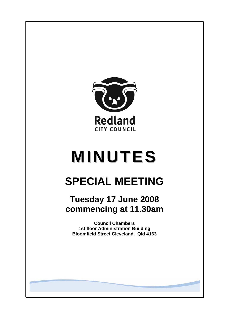

# **MINUTES**

# **SPECIAL MEETING**

## **Tuesday 17 June 2008 commencing at 11.30am**

**Council Chambers 1st floor Administration Building Bloomfield Street Cleveland. Qld 4163**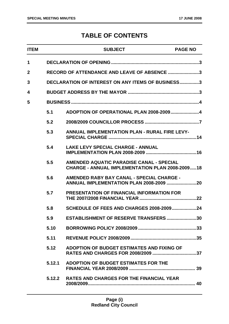### **TABLE OF CONTENTS**

| <b>ITEM</b>  |        | <b>SUBJECT</b>                                                                                     | <b>PAGE NO</b> |
|--------------|--------|----------------------------------------------------------------------------------------------------|----------------|
| 1            |        |                                                                                                    |                |
| $\mathbf{2}$ |        | RECORD OF ATTENDANCE AND LEAVE OF ABSENCE 3                                                        |                |
| 3            |        | <b>DECLARATION OF INTEREST ON ANY ITEMS OF BUSINESS3</b>                                           |                |
| 4            |        |                                                                                                    |                |
| 5            |        |                                                                                                    |                |
|              | 5.1    | ADOPTION OF OPERATIONAL PLAN 2008-20094                                                            |                |
|              | 5.2    |                                                                                                    |                |
|              | 5.3    | <b>ANNUAL IMPLEMENTATION PLAN - RURAL FIRE LEVY-</b>                                               |                |
|              | 5.4    | <b>LAKE LEVY SPECIAL CHARGE - ANNUAL</b>                                                           |                |
|              | 5.5    | AMENDED AQUATIC PARADISE CANAL - SPECIAL<br><b>CHARGE - ANNUAL IMPLEMENTATION PLAN 2008-200918</b> |                |
|              | 5.6    | AMENDED RABY BAY CANAL - SPECIAL CHARGE -<br><b>ANNUAL IMPLEMENTATION PLAN 2008-2009 20</b>        |                |
|              | 5.7    | <b>PRESENTATION OF FINANCIAL INFORMATION FOR</b>                                                   |                |
|              | 5.8    | <b>SCHEDULE OF FEES AND CHARGES 2008-200924</b>                                                    |                |
|              | 5.9    | <b>ESTABLISHMENT OF RESERVE TRANSFERS</b>                                                          | 30             |
|              | 5.10   |                                                                                                    |                |
|              | 5.11   |                                                                                                    |                |
|              | 5.12   | ADOPTION OF BUDGET ESTIMATES AND FIXING OF                                                         |                |
|              | 5.12.1 | ADOPTION OF BUDGET ESTIMATES FOR THE                                                               |                |
|              |        | 5.12.2 RATES AND CHARGES FOR THE FINANCIAL YEAR                                                    |                |
|              |        |                                                                                                    |                |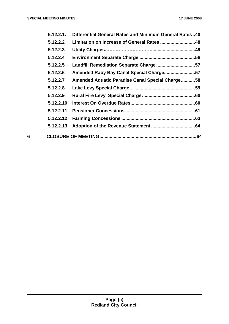|   | 5.12.2.1. | Differential General Rates and Minimum General Rates40 |  |
|---|-----------|--------------------------------------------------------|--|
|   | 5.12.2.2  |                                                        |  |
|   | 5.12.2.3  |                                                        |  |
|   | 5.12.2.4  |                                                        |  |
|   | 5.12.2.5  | Landfill Remediation Separate Charge 57                |  |
|   | 5.12.2.6  | Amended Raby Bay Canal Special Charge57                |  |
|   | 5.12.2.7  | Amended Aquatic Paradise Canal Special Charge58        |  |
|   | 5.12.2.8  |                                                        |  |
|   | 5.12.2.9  |                                                        |  |
|   | 5.12.2.10 |                                                        |  |
|   | 5.12.2.11 |                                                        |  |
|   | 5.12.2.12 |                                                        |  |
|   | 5.12.2.13 |                                                        |  |
| 6 |           |                                                        |  |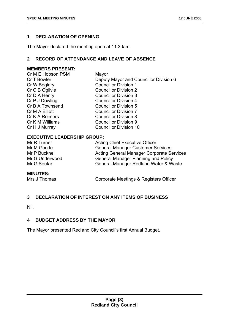#### **1 DECLARATION OF OPENING**

The Mayor declared the meeting open at 11:30am.

#### **2 RECORD OF ATTENDANCE AND LEAVE OF ABSENCE**

#### **MEMBERS PRESENT:**

| Cr M E Hobson PSM | Mayor                                  |
|-------------------|----------------------------------------|
| Cr T Bowler       | Deputy Mayor and Councillor Division 6 |
| Cr W Boglary      | <b>Councillor Division 1</b>           |
| Cr C B Ogilvie    | <b>Councillor Division 2</b>           |
| Cr D A Henry      | <b>Councillor Division 3</b>           |
| Cr P J Dowling    | <b>Councillor Division 4</b>           |
| Cr B A Townsend   | <b>Councillor Division 5</b>           |
| Cr M A Elliott    | <b>Councillor Division 7</b>           |
| Cr K A Reimers    | <b>Councillor Division 8</b>           |
| Cr K M Williams   | <b>Councillor Division 9</b>           |
| Cr H J Murray     | <b>Councillor Division 10</b>          |
|                   |                                        |

#### **EXECUTIVE LEADERSHIP GROUP:**

| Mr R Turner    | <b>Acting Chief Executive Officer</b>            |
|----------------|--------------------------------------------------|
| Mr M Goode     | <b>General Manager Customer Services</b>         |
| Mr P Bucknell  | <b>Acting General Manager Corporate Services</b> |
| Mr G Underwood | <b>General Manager Planning and Policy</b>       |
| Mr G Soutar    | General Manager Redland Water & Waste            |
|                |                                                  |

#### **MINUTES:**

Mrs J Thomas Corporate Meetings & Registers Officer

#### **3 DECLARATION OF INTEREST ON ANY ITEMS OF BUSINESS**

Nil.

#### **4 BUDGET ADDRESS BY THE MAYOR**

The Mayor presented Redland City Council's first Annual Budget.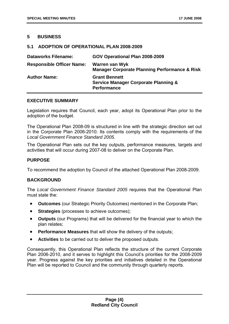#### **5 BUSINESS**

#### **5.1 ADOPTION OF OPERATIONAL PLAN 2008-2009**

| <b>Dataworks Filename:</b>       | GOV Operational Plan 2008-2009                                                                |
|----------------------------------|-----------------------------------------------------------------------------------------------|
| <b>Responsible Officer Name:</b> | Warren van Wyk<br><b>Manager Corporate Planning Performance &amp; Risk</b>                    |
| <b>Author Name:</b>              | <b>Grant Bennett</b><br><b>Service Manager Corporate Planning &amp;</b><br><b>Performance</b> |

#### **EXECUTIVE SUMMARY**

Legislation requires that Council, each year, adopt its Operational Plan prior to the adoption of the budget.

The Operational Plan 2008-09 is structured in line with the strategic direction set out in the Corporate Plan 2006-2010. Its contents comply with the requirements of the *Local Government Finance Standard 2005*.

The Operational Plan sets out the key outputs, performance measures, targets and activities that will occur during 2007-08 to deliver on the Corporate Plan.

#### **PURPOSE**

To recommend the adoption by Council of the attached Operational Plan 2008-2009.

#### **BACKGROUND**

The *Local Government Finance Standard 2005* requires that the Operational Plan must state the:

- **Outcomes** (our Strategic Priority Outcomes) mentioned in the Corporate Plan;
- **Strategies** (processes to achieve outcomes);
- **Outputs** (our Programs) that will be delivered for the financial year to which the plan relates;
- **Performance Measures** that will show the delivery of the outputs;
- **Activities** to be carried out to deliver the proposed outputs.

Consequently, this Operational Plan reflects the structure of the current Corporate Plan 2006-2010, and it serves to highlight this Council's priorities for the 2008-2009 year. Progress against the key priorities and initiatives detailed in the Operational Plan will be reported to Council and the community through quarterly reports.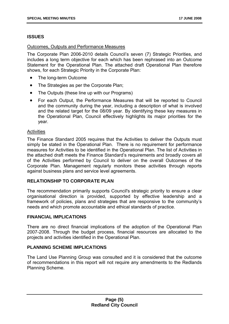#### **ISSUES**

#### Outcomes, Outputs and Performance Measures

The Corporate Plan 2006-2010 details Council's seven (7) Strategic Priorities, and includes a long term objective for each which has been rephrased into an Outcome Statement for the Operational Plan. The attached draft Operational Plan therefore shows, for each Strategic Priority in the Corporate Plan:

- The long-term Outcome
- The Strategies as per the Corporate Plan;
- The Outputs (these line up with our Programs)
- For each Output, the Performance Measures that will be reported to Council and the community during the year, including a description of what is involved and the related target for the 08/09 year. By identifying these key measures in the Operational Plan, Council effectively highlights its major priorities for the year.

#### **Activities**

The Finance Standard 2005 requires that the Activities to deliver the Outputs must simply be stated in the Operational Plan. There is no requirement for performance measures for Activities to be identified in the Operational Plan. The list of Activities in the attached draft meets the Finance Standard's requirements and broadly covers all of the Activities performed by Council to deliver on the overall Outcomes of the Corporate Plan. Management regularly monitors these activities through reports against business plans and service level agreements.

#### **RELATIONSHIP TO CORPORATE PLAN**

The recommendation primarily supports Council's strategic priority to ensure a clear organisational direction is provided, supported by effective leadership and a framework of policies, plans and strategies that are responsive to the community's needs and which promote accountable and ethical standards of practice.

#### **FINANCIAL IMPLICATIONS**

There are no direct financial implications of the adoption of the Operational Plan 2007-2008. Through the budget process, financial resources are allocated to the projects and activities identified in the Operational Plan.

#### **PLANNING SCHEME IMPLICATIONS**

The Land Use Planning Group was consulted and it is considered that the outcome of recommendations in this report will not require any amendments to the Redlands Planning Scheme.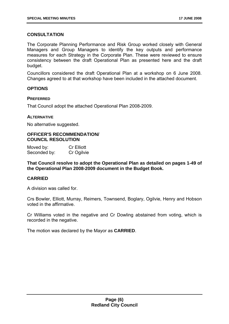#### **CONSULTATION**

The Corporate Planning Performance and Risk Group worked closely with General Managers and Group Managers to identify the key outputs and performance measures for each Strategy in the Corporate Plan. These were reviewed to ensure consistency between the draft Operational Plan as presented here and the draft budget.

Councillors considered the draft Operational Plan at a workshop on 6 June 2008. Changes agreed to at that workshop have been included in the attached document.

#### **OPTIONS**

#### **PREFERRED**

That Council adopt the attached Operational Plan 2008-2009.

#### **ALTERNATIVE**

No alternative suggested.

#### **OFFICER'S RECOMMENDATION/ COUNCIL RESOLUTION**

| Moved by:    | <b>Cr Elliott</b> |
|--------------|-------------------|
| Seconded by: | Cr Ogilvie        |

**That Council resolve to adopt the Operational Plan as detailed on pages 1-49 of the Operational Plan 2008-2009 document in the Budget Book.** 

#### **CARRIED**

A division was called for.

Crs Bowler, Elliott, Murray, Reimers, Townsend, Boglary, Ogilvie, Henry and Hobson voted in the affirmative.

Cr Williams voted in the negative and Cr Dowling abstained from voting, which is recorded in the negative.

The motion was declared by the Mayor as **CARRIED**.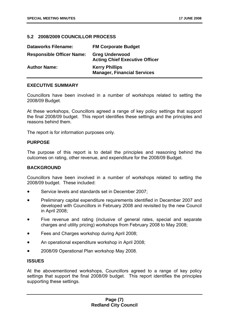#### **5.2 2008/2009 COUNCILLOR PROCESS**

| <b>Dataworks Filename:</b>       | <b>FM Corporate Budget</b>                                     |
|----------------------------------|----------------------------------------------------------------|
| <b>Responsible Officer Name:</b> | <b>Greg Underwood</b><br><b>Acting Chief Executive Officer</b> |
| <b>Author Name:</b>              | <b>Kerry Phillips</b><br><b>Manager, Financial Services</b>    |

#### **EXECUTIVE SUMMARY**

Councillors have been involved in a number of workshops related to setting the 2008/09 Budget.

At these workshops, Councillors agreed a range of key policy settings that support the final 2008/09 budget. This report identifies these settings and the principles and reasons behind them.

The report is for information purposes only.

#### **PURPOSE**

The purpose of this report is to detail the principles and reasoning behind the outcomes on rating, other revenue, and expenditure for the 2008/09 Budget.

#### **BACKGROUND**

Councillors have been involved in a number of workshops related to setting the 2008/09 budget. These included:

- Service levels and standards set in December 2007;
- Preliminary capital expenditure requirements identified in December 2007 and developed with Councillors in February 2008 and revisited by the new Council in April 2008;
- Five revenue and rating (inclusive of general rates, special and separate charges and utility pricing) workshops from February 2008 to May 2008;
- Fees and Charges workshop during April 2008;
- An operational expenditure workshop in April 2008;
- 2008/09 Operational Plan workshop May 2008.

#### **ISSUES**

At the abovementioned workshops, Councillors agreed to a range of key policy settings that support the final 2008/09 budget. This report identifies the principles supporting these settings.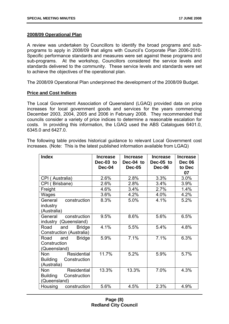#### **2008/09 Operational Plan**

A review was undertaken by Councillors to identify the broad programs and subprograms to apply in 2008/09 that aligns with Council's Corporate Plan 2006-2010. Specific performance standards and measures were set against these programs and sub-programs. At the workshop, Councillors considered the service levels and standards delivered to the community. These service levels and standards were set to achieve the objectives of the operational plan.

The 2008/09 Operational Plan underpinned the development of the 2008/09 Budget.

#### **Price and Cost Indices**

The Local Government Association of Queensland (LGAQ) provided data on price increases for local government goods and services for the years commencing December 2003, 2004, 2005 and 2006 in February 2008. They recommended that councils consider a variety of price indices to determine a reasonable escalation for costs. In providing this information, the LGAQ used the ABS Catalogues 6401.0, 6345.0 and 6427.0.

The following table provides historical guidance to relevant Local Government cost increases. (Note: This is the latest published information available from LGAQ)

| <b>Index</b>                    | <b>Increase</b><br>Dec-03 to | <b>Increase</b><br>Dec-04 to | <b>Increase</b><br>Dec-05 to | <b>Increase</b><br><b>Dec 06</b> |
|---------------------------------|------------------------------|------------------------------|------------------------------|----------------------------------|
|                                 | Dec-04                       | <b>Dec-05</b>                | Dec-06                       | to Dec                           |
|                                 |                              |                              |                              | 07                               |
| CPI (Australia)                 | 2.6%                         | 2.8%                         | 3.3%                         | 3.0%                             |
| CPI (Brisbane)                  | 2.6%                         | 2.8%                         | 3.4%                         | 3.9%                             |
| Freight                         | 4.6%                         | 3.4%                         | 2.7%                         | 1.4%                             |
| Wages                           | 3.6%                         | 4.2%                         | 4.0%                         | 4.2%                             |
| General<br>construction         | 8.3%                         | 5.0%                         | 4.1%                         | 5.2%                             |
| industry                        |                              |                              |                              |                                  |
| (Australia)                     |                              |                              |                              |                                  |
| construction<br>General         | 9.5%                         | 8.6%                         | 5.6%                         | 6.5%                             |
| (Queensland)<br>industry        |                              |                              |                              |                                  |
| Road<br><b>Bridge</b><br>and    | 4.1%                         | 5.5%                         | 5.4%                         | 4.8%                             |
| Construction (Australia)        |                              |                              |                              |                                  |
| Road<br><b>Bridge</b><br>and    | 5.9%                         | 7.1%                         | 7.1%                         | 6.3%                             |
| Construction                    |                              |                              |                              |                                  |
| (Queensland)                    |                              |                              |                              |                                  |
| Residential<br><b>Non</b>       | 11.7%                        | 5.2%                         | 5.9%                         | 5.7%                             |
| <b>Building</b><br>Construction |                              |                              |                              |                                  |
| (Australia)                     |                              |                              |                              |                                  |
| Residential<br><b>Non</b>       | 13.3%                        | 13.3%                        | 7.0%                         | 4.3%                             |
| <b>Building</b><br>Construction |                              |                              |                              |                                  |
| (Queensland)                    |                              |                              |                              |                                  |
| construction<br>Housing         | 5.6%                         | 4.5%                         | 2.3%                         | 4.9%                             |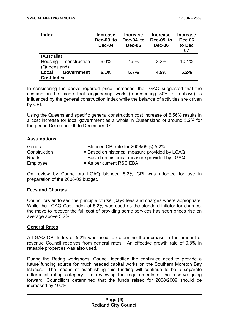| <b>Index</b>                                    | <b>Increase</b><br>Dec-03 to<br>Dec-04 | <b>Increase</b><br>Dec-04 to<br><b>Dec-05</b> | <b>Increase</b><br>Dec-05 to<br>Dec-06 | <b>Increase</b><br><b>Dec 06</b><br>to Dec<br>07 |
|-------------------------------------------------|----------------------------------------|-----------------------------------------------|----------------------------------------|--------------------------------------------------|
| (Australia)                                     |                                        |                                               |                                        |                                                  |
| Housing<br>construction<br>(Queensland)         | 6.0%                                   | 1.5%                                          | 2.2%                                   | 10.1%                                            |
| <b>Government</b><br>Local<br><b>Cost Index</b> | 6.1%                                   | 5.7%                                          | 4.5%                                   | 5.2%                                             |

In considering the above reported price increases, the LGAQ suggested that the assumption be made that engineering work (representing 50% of outlays) is influenced by the general construction index while the balance of activities are driven by CPI.

Using the Queensland specific general construction cost increase of 6.56% results in a cost increase for local government as a whole in Queensland of around 5.2% for the period December 06 to December 07.

| <b>Assumptions</b> |                                                |  |
|--------------------|------------------------------------------------|--|
| General            | = Blended CPI rate for $2008/09$ @ 5.2%        |  |
| Construction       | = Based on historical measure provided by LGAQ |  |
| Roads              | = Based on historical measure provided by LGAQ |  |
| Employee           | = As per current RSC EBA                       |  |

On review by Councillors LGAQ blended 5.2% CPI was adopted for use in preparation of the 2008-09 budget.

#### **Fees and Charges**

Councillors endorsed the principle of *user pays* fees and charges where appropriate. While the LGAQ Cost Index of 5.2% was used as the standard inflator for charges, the move to recover the full cost of providing some services has seen prices rise on average above 5.2%.

#### **General Rates**

A LGAQ CPI Index of 5.2% was used to determine the increase in the amount of revenue Council receives from general rates. An effective growth rate of 0.8% in rateable properties was also used.

During the Rating workshops, Council identified the continued need to provide a future funding source for much needed capital works on the Southern Moreton Bay Islands. The means of establishing this funding will continue to be a separate differential rating category. In reviewing the requirements of the reserve going forward, Councillors determined that the funds raised for 2008/2009 should be increased by 100%.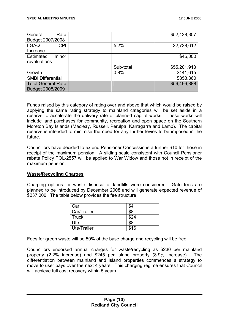| Rate<br>General           |           | \$52,428,307 |
|---------------------------|-----------|--------------|
| Budget 2007/2008          |           |              |
| <b>LGAQ</b><br>CPI        | 5.2%      | \$2,728,612  |
| Increase                  |           |              |
| <b>Estimated</b><br>minor |           | \$45,000     |
| revaluations              |           |              |
|                           | Sub-total | \$55,201,913 |
| Growth                    | 0.8%      | \$441,615    |
| <b>SMBI Differential</b>  |           | \$853,360    |
| <b>Total General Rate</b> |           | \$56,496,888 |
| Budget 2008/2009          |           |              |

Funds raised by this category of rating over and above that which would be raised by applying the same rating strategy to mainland categories will be set aside in a reserve to accelerate the delivery rate of planned capital works. These works will include land purchases for community, recreation and open space on the Southern Moreton Bay Islands (Macleay, Russell, Perulpa, Karragarra and Lamb). The capital reserve is intended to minimise the need for any further levies to be imposed in the future.

Councillors have decided to extend Pensioner Concessions a further \$10 for those in receipt of the maximum pension. A sliding scale consistent with Council Pensioner rebate Policy POL-2557 will be applied to War Widow and those not in receipt of the maximum pension.

#### **Waste/Recycling Charges**

Charging options for waste disposal at landfills were considered. Gate fees are planned to be introduced by December 2008 and will generate expected revenue of \$237,000. The table below provides the fee structure

| Car         | \$4  |
|-------------|------|
| Car/Trailer | \$8  |
| Truck       | \$24 |
| Ute         | \$8  |
| Ute/Trailer | \$16 |

Fees for green waste will be 50% of the base charge and recycling will be free.

Councillors endorsed annual charges for waste/recycling as \$230 per mainland property (2.2% increase) and \$245 per island property (8.9% increase). The differentiation between mainland and island properties commences a strategy to move to user pays over the next 4 years. This charging regime ensures that Council will achieve full cost recovery within 5 years.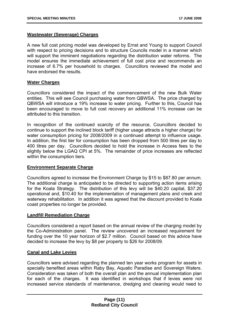#### **Wastewater (Sewerage) Charges**

A new full cost pricing model was developed by Ernst and Young to support Council with respect to pricing decisions and to structure Councils model in a manner which will support the imminent negotiations regarding the distribution water reforms. The model ensures the immediate achievement of full cost price and recommends an increase of 6.7% per household to charges. Councillors reviewed the model and have endorsed the results.

#### **Water Charges**

Councillors considered the impact of the commencement of the new Bulk Water entities. This will see Council purchasing water from QBWSA. The price charged by QBWSA will introduce a 19% increase to water pricing. Further to this, Council has been encouraged to move to full cost recovery an additional 11% increase can be attributed to this transition.

In recognition of the continued scarcity of the resource, Councillors decided to continue to support the inclined block tariff (higher usage attracts a higher charge) for water consumption pricing for 2008/2009 in a continued attempt to influence usage. In addition, the first tier for consumption has been dropped from 500 litres per day to 400 litres per day. Councillors decided to hold the increase in Access fees to the slightly below the LGAQ CPI at 5%. The remainder of price increases are reflected within the consumption tiers.

#### **Environment Separate Charge**

Councillors agreed to increase the Environment Charge by \$15 to \$87.80 per annum. The additional charge is anticipated to be directed to supporting action items arising for the Koala Strategy. The distribution of this levy will be \$40.20 capital, \$37.20 operational and, \$10.40 for the implementation of management plans and creek and waterway rehabilitation. In addition it was agreed that the discount provided to Koala coast properties no longer be provided.

#### **Landfill Remediation Charge**

Councillors considered a report based on the annual review of the charging model by the Co-Administration panel. The review uncovered an increased requirement for funding over the 10 year horizon of \$2.7 million. Council based on this advice have decided to increase the levy by \$8 per property to \$26 for 2008/09.

#### **Canal and Lake Levies**

Councillors were advised regarding the planned ten year works program for assets in specially benefited areas within Raby Bay, Aquatic Paradise and Sovereign Waters. Consideration was taken of both the overall plan and the annual implementation plan for each of the charges. It was identified in workshops that if levies were not increased service standards of maintenance, dredging and cleaning would need to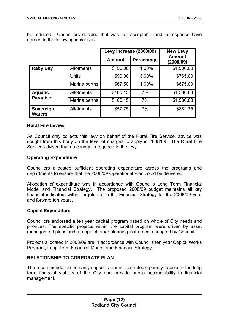be reduced. Councillors decided that was not acceptable and in response have agreed to the following increases:

|                            |                   | Levy Increase (2008/09) |            | <b>New Levy</b>            |  |
|----------------------------|-------------------|-------------------------|------------|----------------------------|--|
|                            |                   | <b>Amount</b>           | Percentage | <b>Amount</b><br>(2008/09) |  |
| <b>Raby Bay</b>            | <b>Allotments</b> | \$150.00                | 11.00%     | \$1,500.00                 |  |
|                            | Units             | \$90.00                 | 13.00%     | \$765.00                   |  |
|                            | Marina berths     | \$67.50                 | 11.00%     | \$675.00                   |  |
| <b>Aquatic</b>             | <b>Allotments</b> | \$100.15                | 7%         | \$1,530.88                 |  |
| <b>Paradise</b>            | Marina berths     | \$100.15                | 7%         | \$1,530.88                 |  |
| Sovereign<br><b>Waters</b> | Allotments        | \$57.75                 | 7%         | \$882.75                   |  |

#### **Rural Fire Levies**

As Council only collects this levy on behalf of the Rural Fire Service, advice was sought from this body on the level of charges to apply in 2008/09. The Rural Fire Service advised that no change is required to the levy.

#### **Operating Expenditure**

Councillors allocated sufficient operating expenditure across the programs and departments to ensure that the 2008/09 Operational Plan could be delivered.

Allocation of expenditure was in accordance with Council's Long Term Financial Model and Financial Strategy. The proposed 2008/09 budget maintains all key financial indicators within targets set in the Financial Strategy for the 2008/09 year and forward ten years.

#### **Capital Expenditure**

Councillors endorsed a ten year capital program based on whole of City needs and priorities. The specific projects within the capital program were driven by asset management plans and a range of other planning instruments adopted by Council.

Projects allocated in 2008/09 are in accordance with Council's ten year Capital Works Program, Long Term Financial Model, and Financial Strategy.

#### **RELATIONSHIP TO CORPORATE PLAN**

The recommendation primarily supports Council's strategic priority to ensure the long term financial viability of the City and provide public accountability in financial management.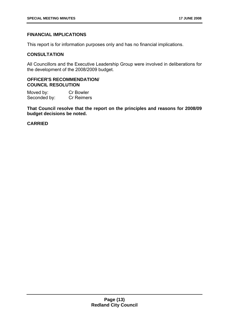#### **FINANCIAL IMPLICATIONS**

This report is for information purposes only and has no financial implications.

#### **CONSULTATION**

All Councillors and the Executive Leadership Group were involved in deliberations for the development of the 2008/2009 budget.

#### **OFFICER'S RECOMMENDATION/ COUNCIL RESOLUTION**

Moved by: Cr Bowler Seconded by: Cr Reimers

**That Council resolve that the report on the principles and reasons for 2008/09 budget decisions be noted.** 

#### **CARRIED**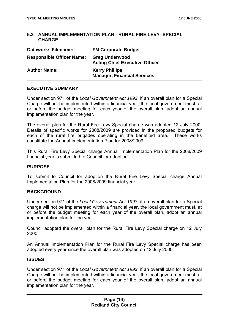#### **5.3 ANNUAL IMPLEMENTATION PLAN - RURAL FIRE LEVY- SPECIAL CHARGE**

| <b>Dataworks Filename:</b>       | <b>FM Corporate Budget</b>                                     |
|----------------------------------|----------------------------------------------------------------|
| <b>Responsible Officer Name:</b> | <b>Greg Underwood</b><br><b>Acting Chief Executive Officer</b> |
| <b>Author Name:</b>              | <b>Kerry Phillips</b><br><b>Manager, Financial Services</b>    |

#### **EXECUTIVE SUMMARY**

Under section 971 of the *Local Government Act 1993*, if an overall plan for a Special Charge will not be implemented within a financial year, the local government must, at or before the budget meeting for each year of the overall plan, adopt an annual implementation plan for the year.

The overall plan for the Rural Fire Levy Special charge was adopted 12 July 2000. Details of specific works for 2008/2009 are provided in the proposed budgets for each of the rural fire brigades operating in the benefited area. These works constitute the Annual Implementation Plan for 2008/2009.

This Rural Fire Levy Special charge Annual Implementation Plan for the 2008/2009 financial year is submitted to Council for adoption.

#### **PURPOSE**

To submit to Council for adoption the Rural Fire Levy Special charge Annual Implementation Plan for the 2008/2009 financial year.

#### **BACKGROUND**

Under section 971 of the *Local Government Act 1993*, if an overall plan for a Special charge will not be implemented within a financial year, the local government must, at or before the budget meeting for each year of the overall plan, adopt an annual implementation plan for the year.

Council adopted the overall plan for the Rural Fire Levy Special charge on 12 July 2000.

An Annual Implementation Plan for the Rural Fire Levy Special charge has been adopted every year since the overall plan was adopted on 12 July 2000.

#### **ISSUES**

Under section 971 of the *Local Government Act 1993*, if an overall plan for a Special Charge will not be implemented within a financial year, the local government must, at or before the budget meeting for each year of the overall plan, adopt an annual implementation plan for the year.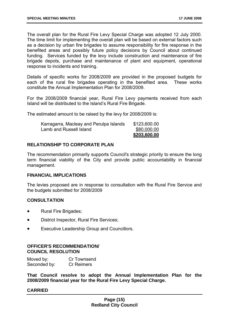The overall plan for the Rural Fire Levy Special Charge was adopted 12 July 2000. The time limit for implementing the overall plan will be based on external factors such as a decision by urban fire brigades to assume responsibility for fire response in the benefited areas and possibly future policy decisions by Council about continued funding. Services funded by the levy include construction and maintenance of fire brigade depots, purchase and maintenance of plant and equipment, operational response to incidents and training.

Details of specific works for 2008/2009 are provided in the proposed budgets for each of the rural fire brigades operating in the benefited area. These works constitute the Annual Implementation Plan for 2008/2009.

For the 2008/2009 financial year, Rural Fire Levy payments received from each Island will be distributed to the Island's Rural Fire Brigade.

The estimated amount to be raised by the levy for 2008/2009 is:

|                                         | \$203,600.00 |
|-----------------------------------------|--------------|
| Lamb and Russell Island                 | \$80,000.00  |
| Karragarra, Macleay and Perulpa Islands | \$123,600.00 |

#### **RELATIONSHIP TO CORPORATE PLAN**

The recommendation primarily supports Council's strategic priority to ensure the long term financial viability of the City and provide public accountability in financial management.

#### **FINANCIAL IMPLICATIONS**

The levies proposed are in response to consultation with the Rural Fire Service and the budgets submitted for 2008/2009

#### **CONSULTATION**

- Rural Fire Brigades;
- District Inspector, Rural Fire Services;
- Executive Leadership Group and Councillors.

#### **OFFICER'S RECOMMENDATION/ COUNCIL RESOLUTION**

| Moved by:    | Cr Townsend       |
|--------------|-------------------|
| Seconded by: | <b>Cr Reimers</b> |

**That Council resolve to adopt the Annual Implementation Plan for the 2008/2009 financial year for the Rural Fire Levy Special Charge.** 

#### **CARRIED**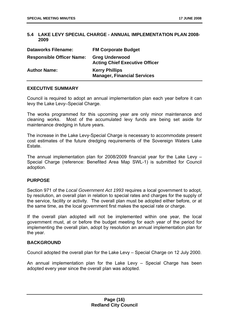#### **5.4 LAKE LEVY SPECIAL CHARGE - ANNUAL IMPLEMENTATION PLAN 2008- 2009**

| <b>Dataworks Filename:</b>       | <b>FM Corporate Budget</b>                                     |
|----------------------------------|----------------------------------------------------------------|
| <b>Responsible Officer Name:</b> | <b>Greg Underwood</b><br><b>Acting Chief Executive Officer</b> |
| <b>Author Name:</b>              | <b>Kerry Phillips</b><br><b>Manager, Financial Services</b>    |

#### **EXECUTIVE SUMMARY**

Council is required to adopt an annual implementation plan each year before it can levy the Lake Levy–Special Charge.

The works programmed for this upcoming year are only minor maintenance and cleaning works. Most of the accumulated levy funds are being set aside for maintenance dredging in future years.

The increase in the Lake Levy-Special Charge is necessary to accommodate present cost estimates of the future dredging requirements of the Sovereign Waters Lake Estate.

The annual implementation plan for 2008/2009 financial year for the Lake Levy – Special Charge (reference: Benefited Area Map SWL-1) is submitted for Council adoption.

#### **PURPOSE**

Section 971 of the *Local Government Act 1993* requires a local government to adopt, by resolution, an overall plan in relation to special rates and charges for the supply of the service, facility or activity. The overall plan must be adopted either before, or at the same time, as the local government first makes the special rate or charge.

If the overall plan adopted will not be implemented within one year, the local government must, at or before the budget meeting for each year of the period for implementing the overall plan, adopt by resolution an annual implementation plan for the year.

#### **BACKGROUND**

Council adopted the overall plan for the Lake Levy – Special Charge on 12 July 2000.

An annual implementation plan for the Lake Levy – Special Charge has been adopted every year since the overall plan was adopted.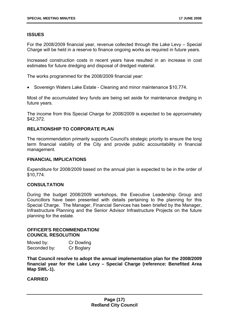#### **ISSUES**

For the 2008/2009 financial year, revenue collected through the Lake Levy – Special Charge will be held in a reserve to finance ongoing works as required in future years.

Increased construction costs in recent years have resulted in an increase in cost estimates for future dredging and disposal of dredged material.

The works programmed for the 2008/2009 financial year:

• Sovereign Waters Lake Estate - Cleaning and minor maintenance \$10,774.

Most of the accumulated levy funds are being set aside for maintenance dredging in future years.

The income from this Special Charge for 2008/2009 is expected to be approximately \$42,372.

#### **RELATIONSHIP TO CORPORATE PLAN**

The recommendation primarily supports Council's strategic priority to ensure the long term financial viability of the City and provide public accountability in financial management.

#### **FINANCIAL IMPLICATIONS**

Expenditure for 2008/2009 based on the annual plan is expected to be in the order of \$10,774.

#### **CONSULTATION**

During the budget 2008/2009 workshops, the Executive Leadership Group and Councillors have been presented with details pertaining to the planning for this Special Charge. The Manager, Financial Services has been briefed by the Manager, Infrastructure Planning and the Senior Advisor Infrastructure Projects on the future planning for the estate.

#### **OFFICER'S RECOMMENDATION/ COUNCIL RESOLUTION**

| Moved by:    | Cr Dowling |
|--------------|------------|
| Seconded by: | Cr Boglary |

**That Council resolve to adopt the annual implementation plan for the 2008/2009 financial year for the Lake Levy – Special Charge (reference: Benefited Area Map SWL-1).** 

#### **CARRIED**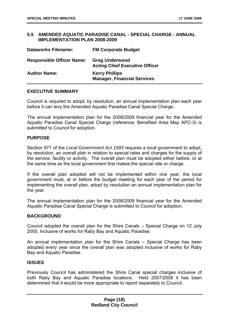#### **5.5 AMENDED AQUATIC PARADISE CANAL - SPECIAL CHARGE - ANNUAL IMPLEMENTATION PLAN 2008-2009**

| <b>Dataworks Filename:</b>       | <b>FM Corporate Budget</b>                                     |
|----------------------------------|----------------------------------------------------------------|
| <b>Responsible Officer Name:</b> | <b>Greg Underwood</b><br><b>Acting Chief Executive Officer</b> |
| <b>Author Name:</b>              | <b>Kerry Phillips</b><br><b>Manager, Financial Services</b>    |

#### **EXECUTIVE SUMMARY**

Council is required to adopt, by resolution, an annual implementation plan each year before it can levy the Amended Aquatic Paradise Canal Special Charge.

The annual implementation plan for the 2008/2009 financial year for the Amended Aquatic Paradise Canal Special Charge (reference: Benefited Area Map APC-3) is submitted to Council for adoption.

#### **PURPOSE**

Section 971 of the *Local Government Act 1993* requires a local government to adopt, by resolution, an overall plan in relation to special rates and charges for the supply of the service, facility or activity. The overall plan must be adopted either before, or at the same time as the local government first makes the special rate or charge.

If the overall plan adopted will not be implemented within one year, the local government must, at or before the budget meeting for each year of the period for implementing the overall plan, adopt by resolution an annual implementation plan for the year.

The annual implementation plan for the 2008/2009 financial year for the Amended Aquatic Paradise Canal Special Charge is submitted to Council for adoption.

#### **BACKGROUND**

Council adopted the overall plan for the Shire Canals – Special Charge on 12 July 2000, Inclusive of works for Raby Bay and Aquatic Paradise.

An annual implementation plan for the Shire Canals – Special Charge has been adopted every year since the overall plan was adopted inclusive of works for Raby Bay and Aquatic Paradise.

#### **ISSUES**

Previously Council has administered the Shire Canal special charges inclusive of both Raby Bay and Aquatic Paradise locations. Held 2007/2008 it has been determined that it would be more appropriate to report separately to Council.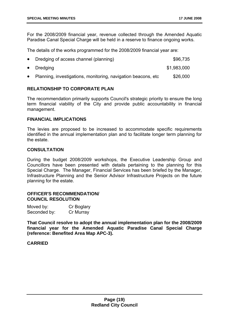For the 2008/2009 financial year, revenue collected through the Amended Aquatic Paradise Canal Special Charge will be held in a reserve to finance ongoing works.

The details of the works programmed for the 2008/2009 financial year are:

| • Dredging of access channel (planning)                         | \$96,735    |
|-----------------------------------------------------------------|-------------|
| • Dredging                                                      | \$1,983,000 |
| • Planning, investigations, monitoring, navigation beacons, etc | \$26,000    |

#### **RELATIONSHIP TO CORPORATE PLAN**

The recommendation primarily supports Council's strategic priority to ensure the long term financial viability of the City and provide public accountability in financial management.

#### **FINANCIAL IMPLICATIONS**

The levies are proposed to be increased to accommodate specific requirements identified in the annual implementation plan and to facilitate longer term planning for the estate.

#### **CONSULTATION**

During the budget 2008/2009 workshops, the Executive Leadership Group and Councillors have been presented with details pertaining to the planning for this Special Charge. The Manager, Financial Services has been briefed by the Manager, Infrastructure Planning and the Senior Advisor Infrastructure Projects on the future planning for the estate.

#### **OFFICER'S RECOMMENDATION/ COUNCIL RESOLUTION**

| Moved by:    | Cr Boglary |
|--------------|------------|
| Seconded by: | Cr Murray  |

**That Council resolve to adopt the annual implementation plan for the 2008/2009 financial year for the Amended Aquatic Paradise Canal Special Charge (reference: Benefited Area Map APC-3).** 

#### **CARRIED**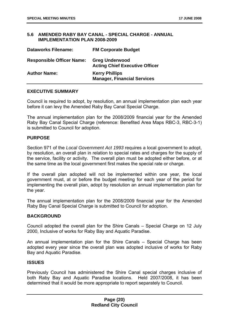#### **5.6 AMENDED RABY BAY CANAL - SPECIAL CHARGE - ANNUAL IMPLEMENTATION PLAN 2008-2009**

| <b>Dataworks Filename:</b>       | <b>FM Corporate Budget</b>                                     |
|----------------------------------|----------------------------------------------------------------|
| <b>Responsible Officer Name:</b> | <b>Greg Underwood</b><br><b>Acting Chief Executive Officer</b> |
| <b>Author Name:</b>              | <b>Kerry Phillips</b><br><b>Manager, Financial Services</b>    |

#### **EXECUTIVE SUMMARY**

Council is required to adopt, by resolution, an annual implementation plan each year before it can levy the Amended Raby Bay Canal Special Charge.

The annual implementation plan for the 2008/2009 financial year for the Amended Raby Bay Canal Special Charge (reference: Benefited Area Maps RBC-3, RBC-3-1) is submitted to Council for adoption.

#### **PURPOSE**

Section 971 of the *Local Government Act 1993* requires a local government to adopt, by resolution, an overall plan in relation to special rates and charges for the supply of the service, facility or activity. The overall plan must be adopted either before, or at the same time as the local government first makes the special rate or charge.

If the overall plan adopted will not be implemented within one year, the local government must, at or before the budget meeting for each year of the period for implementing the overall plan, adopt by resolution an annual implementation plan for the year.

The annual implementation plan for the 2008/2009 financial year for the Amended Raby Bay Canal Special Charge is submitted to Council for adoption.

#### **BACKGROUND**

Council adopted the overall plan for the Shire Canals – Special Charge on 12 July 2000, Inclusive of works for Raby Bay and Aquatic Paradise.

An annual implementation plan for the Shire Canals – Special Charge has been adopted every year since the overall plan was adopted inclusive of works for Raby Bay and Aquatic Paradise.

#### **ISSUES**

Previously Council has administered the Shire Canal special charges inclusive of both Raby Bay and Aquatic Paradise locations. Held 2007/2008, it has been determined that it would be more appropriate to report separately to Council.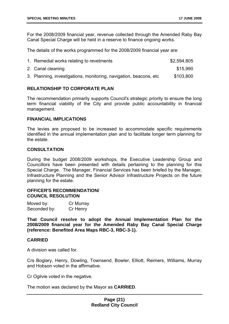For the 2008/2009 financial year, revenue collected through the Amended Raby Bay Canal Special Charge will be held in a reserve to finance ongoing works.

The details of the works programmed for the 2008/2009 financial year are:

| 1. Remedial works relating to revetments                           | \$2,594,805 |
|--------------------------------------------------------------------|-------------|
| 2. Canal cleaning                                                  | \$15,990    |
| 3. Planning, investigations, monitoring, navigation, beacons, etc. | \$103,800   |

#### **RELATIONSHIP TO CORPORATE PLAN**

The recommendation primarily supports Council's strategic priority to ensure the long term financial viability of the City and provide public accountability in financial management.

#### **FINANCIAL IMPLICATIONS**

The levies are proposed to be increased to accommodate specific requirements identified in the annual implementation plan and to facilitate longer term planning for the estate.

#### **CONSULTATION**

During the budget 2008/2009 workshops, the Executive Leadership Group and Councillors have been presented with details pertaining to the planning for this Special Charge. The Manager, Financial Services has been briefed by the Manager, Infrastructure Planning and the Senior Advisor Infrastructure Projects on the future planning for the estate.

#### **OFFICER'S RECOMMENDATION/ COUNCIL RESOLUTION**

| Moved by:    | Cr Murray |
|--------------|-----------|
| Seconded by: | Cr Henry  |

**That Council resolve to adopt the Annual Implementation Plan for the 2008/2009 financial year for the Amended Raby Bay Canal Special Charge (reference: Benefited Area Maps RBC-3, RBC-3-1).** 

#### **CARRIED**

A division was called for.

Crs Boglary, Henry, Dowling, Townsend, Bowler, Elliott, Reimers, Williams, Murray and Hobson voted in the affirmative.

Cr Ogilvie voted in the negative.

The motion was declared by the Mayor as **CARRIED**.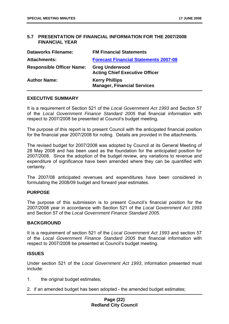#### **5.7 PRESENTATION OF FINANCIAL INFORMATION FOR THE 2007/2008 FINANCIAL YEAR**

| <b>Dataworks Filename:</b>       | <b>FM Financial Statements</b>                                 |
|----------------------------------|----------------------------------------------------------------|
| <b>Attachments:</b>              | <b>Forecast Financial Statements 2007-08</b>                   |
| <b>Responsible Officer Name:</b> | <b>Greg Underwood</b><br><b>Acting Chief Executive Officer</b> |
| <b>Author Name:</b>              | <b>Kerry Phillips</b><br><b>Manager, Financial Services</b>    |

#### **EXECUTIVE SUMMARY**

It is a requirement of Section 521 of the *Local Government Act 1993* and Section 57 of the *Local Government Finance Standard 2005* that financial information with respect to 2007/2008 be presented at Council's budget meeting.

The purpose of this report is to present Council with the anticipated financial position for the financial year 2007/2008 for noting. Details are provided in the attachments.

The revised budget for 2007/2008 was adopted by Council at its General Meeting of 28 May 2008 and has been used as the foundation for the anticipated position for 2007/2008. Since the adoption of the budget review, any variations to revenue and expenditure of significance have been amended where they can be quantified with certainty.

The 2007/08 anticipated revenues and expenditures have been considered in formulating the 2008/09 budget and forward year estimates.

#### **PURPOSE**

The purpose of this submission is to present Council's financial position for the 2007/2008 year in accordance with Section 521 of the *Local Government Act 1993* and Section 57 of the *Local Government Finance Standard 2005.*

#### **BACKGROUND**

It is a requirement of section 521 of the *Local Government Act 1993* and section 57 of the *Local Government Finance Standard 2005* that financial information with respect to 2007/2008 be presented at Council's budget meeting.

#### **ISSUES**

Under section 521 of the *Local Government Act 1993*, information presented must include:

- 1. the original budget estimates;
- 2. if an amended budget has been adopted the amended budget estimates;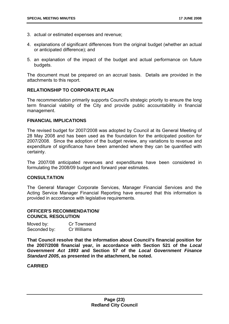- 3. actual or estimated expenses and revenue;
- 4. explanations of significant differences from the original budget (whether an actual or anticipated difference); and
- 5. an explanation of the impact of the budget and actual performance on future budgets.

The document must be prepared on an accrual basis. Details are provided in the attachments to this report.

#### **RELATIONSHIP TO CORPORATE PLAN**

The recommendation primarily supports Council's strategic priority to ensure the long term financial viability of the City and provide public accountability in financial management.

#### **FINANCIAL IMPLICATIONS**

The revised budget for 2007/2008 was adopted by Council at its General Meeting of 28 May 2008 and has been used as the foundation for the anticipated position for 2007/2008. Since the adoption of the budget review, any variations to revenue and expenditure of significance have been amended where they can be quantified with certainty.

The 2007/08 anticipated revenues and expenditures have been considered in formulating the 2008/09 budget and forward year estimates.

#### **CONSULTATION**

The General Manager Corporate Services, Manager Financial Services and the Acting Service Manager Financial Reporting have ensured that this information is provided in accordance with legislative requirements.

#### **OFFICER'S RECOMMENDATION/ COUNCIL RESOLUTION**

| Moved by:    | Cr Townsend |
|--------------|-------------|
| Seconded by: | Cr Williams |

**That Council resolve that the information about Council's financial position for the 2007/2008 financial year, in accordance with Section 521 of the** *Local Government Act 1993* **and Section 57 of the** *Local Government Finance Standard 2005***, as presented in the attachment, be noted.** 

#### **CARRIED**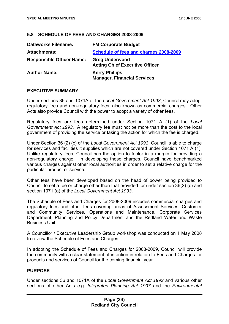#### **5.8 SCHEDULE OF FEES AND CHARGES 2008-2009**

| <b>Dataworks Filename:</b>       | <b>FM Corporate Budget</b>                                     |
|----------------------------------|----------------------------------------------------------------|
| <b>Attachments:</b>              | Schedule of fees and charges 2008-2009                         |
| <b>Responsible Officer Name:</b> | <b>Greg Underwood</b><br><b>Acting Chief Executive Officer</b> |
| <b>Author Name:</b>              | <b>Kerry Phillips</b><br><b>Manager, Financial Services</b>    |

#### **EXECUTIVE SUMMARY**

Under sections 36 and 1071A of the *Local Government Act 1993*, Council may adopt regulatory fees and non-regulatory fees, also known as commercial charges. Other Acts also provide Council with the power to adopt a variety of other fees.

Regulatory fees are fees determined under Section 1071 A (1) of the *Local Government Act 1993*. A regulatory fee must not be more than the cost to the local government of providing the service or taking the action for which the fee is charged.

Under Section 36 (2) (c) of the *Local Government Act 1993*, Council is able to charge for services and facilities it supplies which are not covered under Section 1071 A (1). Unlike regulatory fees, Council has the option to factor in a margin for providing a non-regulatory charge. In developing these charges, Council have benchmarked various charges against other local authorities in order to set a relative charge for the particular product or service.

Other fees have been developed based on the head of power being provided to Council to set a fee or charge other than that provided for under section 36(2) (c) and section 1071 (a) of the *Local Government Act 1993*.

The Schedule of Fees and Charges for 2008-2009 includes commercial charges and regulatory fees and other fees covering areas of Assessment Services, Customer and Community Services, Operations and Maintenance, Corporate Services Department, Planning and Policy Department and the Redland Water and Waste Business Unit.

A Councillor / Executive Leadership Group workshop was conducted on 1 May 2008 to review the Schedule of Fees and Charges.

In adopting the Schedule of Fees and Charges for 2008-2009, Council will provide the community with a clear statement of intention in relation to Fees and Charges for products and services of Council for the coming financial year.

#### **PURPOSE**

Under sections 36 and 1071A of the *Local Government Act 1993* and various other sections of other Acts e.g. *Integrated Planning Act 1997* and the *Environmental*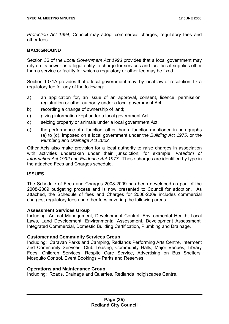*Protection Act 1994*, Council may adopt commercial charges, regulatory fees and other fees.

#### **BACKGROUND**

Section 36 of the *Local Government Act 1993* provides that a local government may rely on its power as a legal entity to charge for services and facilities it supplies other than a service or facility for which a regulatory or other fee may be fixed.

Section 1071A provides that a local government may, by local law or resolution, fix a regulatory fee for any of the following:

- a) an application for, an issue of an approval, consent, licence, permission, registration or other authority under a local government Act;
- b) recording a change of ownership of land:
- c) giving information kept under a local government Act;
- d) seizing property or animals under a local government Act;
- e) the performance of a function, other than a function mentioned in paragraphs (a) to (d), imposed on a local government under the *Building Act 1975*, or the *Plumbing and Drainage Act 2002.*

Other Acts also make provision for a local authority to raise charges in association with activities undertaken under their jurisdiction; for example, *Freedom of Information Act 1992* and *Evidence Act 1977*. These charges are identified by type in the attached Fees and Charges schedule.

#### **ISSUES**

The Schedule of Fees and Charges 2008-2009 has been developed as part of the 2008-2009 budgeting process and is now presented to Council for adoption. As attached, the Schedule of fees and Charges for 2008-2009 includes commercial charges, regulatory fees and other fees covering the following areas:

#### **Assessment Services Group**

Including: Animal Management, Development Control, Environmental Health, Local Laws, Land Development, Environmental Assessment, Development Assessment, Integrated Commercial, Domestic Building Certification, Plumbing and Drainage.

#### **Customer and Community Services Group**

Including: Caravan Parks and Camping, Redlands Performing Arts Centre, Interment and Community Services, Club Leasing, Community Halls, Major Venues, Library Fees, Children Services, Respite Care Service, Advertising on Bus Shelters, Mosquito Control, Event Bookings – Parks and Reserves.

#### **Operations and Maintenance Group**

Including: Roads, Drainage and Quarries, Redlands Indigiscapes Centre.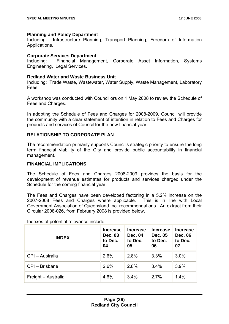#### **Planning and Policy Department**

Including: Infrastructure Planning, Transport Planning, Freedom of Information Applications.

#### **Corporate Services Department**

Including: Financial Management, Corporate Asset Information, Systems Engineering, Legal Services.

#### **Redland Water and Waste Business Unit**

Including: Trade Waste, Wastewater, Water Supply, Waste Management, Laboratory Fees.

A workshop was conducted with Councillors on 1 May 2008 to review the Schedule of Fees and Charges.

In adopting the Schedule of Fees and Charges for 2008-2009, Council will provide the community with a clear statement of intention in relation to Fees and Charges for products and services of Council for the new financial year.

#### **RELATIONSHIP TO CORPORATE PLAN**

The recommendation primarily supports Council's strategic priority to ensure the long term financial viability of the City and provide public accountability in financial management.

#### **FINANCIAL IMPLICATIONS**

The Schedule of Fees and Charges 2008-2009 provides the basis for the development of revenue estimates for products and services charged under the Schedule for the coming financial year.

The Fees and Charges have been developed factoring in a 5.2% increase on the 2007-2008 Fees and Charges where applicable. This is in line with Local Government Association of Queensland Inc. recommendations. An extract from their Circular 2008-026, from February 2008 is provided below.

| <b>INDEX</b>        | <b>Increase</b><br><b>Dec. 03</b><br>to Dec.<br>04 | <b>Increase</b><br><b>Dec. 04</b><br>to Dec.<br>05 | <b>Increase</b><br>Dec. 05<br>to Dec.<br>06 | <b>Increase</b><br><b>Dec. 06</b><br>to Dec.<br>07 |
|---------------------|----------------------------------------------------|----------------------------------------------------|---------------------------------------------|----------------------------------------------------|
| CPI - Australia     | 2.6%                                               | 2.8%                                               | 3.3%                                        | 3.0%                                               |
| CPI - Brisbane      | 2.6%                                               | 2.8%                                               | 3.4%                                        | 3.9%                                               |
| Freight - Australia | 4.6%                                               | 3.4%                                               | 2.7%                                        | 1.4%                                               |

Indexes of potential relevance include:-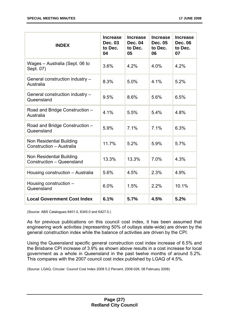| <b>INDEX</b>                                          | <b>Increase</b><br><b>Dec. 03</b><br>to Dec.<br>04 | <b>Increase</b><br><b>Dec. 04</b><br>to Dec.<br>05 | <b>Increase</b><br>Dec. 05<br>to Dec.<br>06 | <b>Increase</b><br><b>Dec. 06</b><br>to Dec.<br>07 |
|-------------------------------------------------------|----------------------------------------------------|----------------------------------------------------|---------------------------------------------|----------------------------------------------------|
| Wages - Australia (Sept. 06 to<br>Sept. 07)           | 3.6%                                               | 4.2%                                               | 4.0%                                        | 4.2%                                               |
| General construction industry -<br>Australia          | 8.3%                                               | 5.0%                                               | 4.1%                                        | 5.2%                                               |
| General construction industry -<br>Queensland         | 9.5%                                               | 8.6%                                               | 5.6%                                        | 6.5%                                               |
| Road and Bridge Construction -<br>Australia           | 4.1%                                               | 5.5%                                               | 5.4%                                        | 4.8%                                               |
| Road and Bridge Construction -<br>Queensland          | 5.9%                                               | 7.1%                                               | 7.1%                                        | 6.3%                                               |
| Non Residential Building<br>Construction - Australia  | 11.7%                                              | 5.2%                                               | 5.9%                                        | 5.7%                                               |
| Non Residential Building<br>Construction - Queensland | 13.3%                                              | 13.3%                                              | 7.0%                                        | 4.3%                                               |
| Housing construction - Australia                      | 5.6%                                               | 4.5%                                               | 2.3%                                        | 4.9%                                               |
| Housing construction -<br>Queensland                  | 6.0%                                               | 1.5%                                               | 2.2%                                        | 10.1%                                              |
| <b>Local Government Cost Index</b>                    | 6.1%                                               | 5.7%                                               | 4.5%                                        | 5.2%                                               |

(Source: ABS Catalogues 6401.0, 6345.0 and 6427.0.)

As for previous publications on this council cost index, it has been assumed that engineering work activities (representing 50% of outlays state-wide) are driven by the general construction index while the balance of activities are driven by the CPI.

Using the Queensland specific general construction cost index increase of 6.5% and the Brisbane CPI increase of 3.9% as shown above results in a cost increase for local government as a whole in Queensland in the past twelve months of around 5.2%. This compares with the 2007 council cost index published by LGAQ of 4.5%.

(Source: LGAQ, Circular: Council Cost Index 2008 5.2 Percent, 2008-026, 08 February 2008)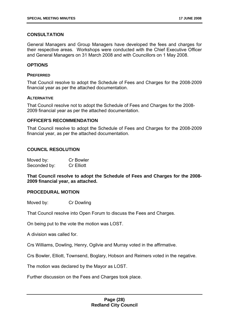#### **CONSULTATION**

General Managers and Group Managers have developed the fees and charges for their respective areas. Workshops were conducted with the Chief Executive Officer and General Managers on 31 March 2008 and with Councillors on 1 May 2008.

#### **OPTIONS**

#### **PREFERRED**

That Council resolve to adopt the Schedule of Fees and Charges for the 2008-2009 financial year as per the attached documentation.

#### **ALTERNATIVE**

That Council resolve not to adopt the Schedule of Fees and Charges for the 2008- 2009 financial year as per the attached documentation.

#### **OFFICER'S RECOMMENDATION**

That Council resolve to adopt the Schedule of Fees and Charges for the 2008-2009 financial year, as per the attached documentation.

#### **COUNCIL RESOLUTION**

| Moved by:    | <b>Cr Bowler</b>  |
|--------------|-------------------|
| Seconded by: | <b>Cr Elliott</b> |

**That Council resolve to adopt the Schedule of Fees and Charges for the 2008- 2009 financial year, as attached.** 

#### **PROCEDURAL MOTION**

Moved by: Cr Dowling

That Council resolve into Open Forum to discuss the Fees and Charges.

On being put to the vote the motion was LOST.

A division was called for.

Crs Williams, Dowling, Henry, Ogilvie and Murray voted in the affirmative.

Crs Bowler, Elliott, Townsend, Boglary, Hobson and Reimers voted in the negative.

The motion was declared by the Mayor as LOST.

Further discussion on the Fees and Charges took place.

#### **Page (28) Redland City Council**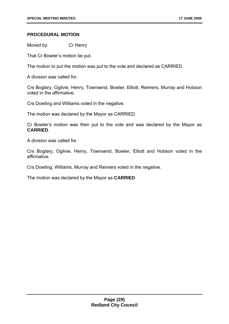#### **PROCEDURAL MOTION**

Moved by: Cr Henry

That Cr Bowler's motion be put.

The motion to put the motion was put to the vote and declared as CARRIED.

A division was called for.

Crs Boglary, Ogilvie, Henry, Townsend, Bowler, Elliott, Reimers, Murray and Hobson voted in the affirmative.

Crs Dowling and Williams voted in the negative.

The motion was declared by the Mayor as CARRIED.

Cr Bowler's motion was then put to the vote and was declared by the Mayor as **CARRIED**.

A division was called for.

Crs Boglary, Ogilvie, Henry, Townsend, Bowler, Elliott and Hobson voted in the affirmative.

Crs Dowling, Williams, Murray and Reimers voted in the negative.

The motion was declared by the Mayor as **CARRIED**.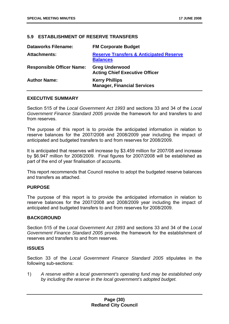#### **5.9 ESTABLISHMENT OF RESERVE TRANSFERS**

| <b>Dataworks Filename:</b>       | <b>FM Corporate Budget</b>                                            |
|----------------------------------|-----------------------------------------------------------------------|
| <b>Attachments:</b>              | <b>Reserve Transfers &amp; Anticipated Reserve</b><br><b>Balances</b> |
| <b>Responsible Officer Name:</b> | <b>Greg Underwood</b><br><b>Acting Chief Executive Officer</b>        |
| <b>Author Name:</b>              | <b>Kerry Phillips</b><br><b>Manager, Financial Services</b>           |

#### **EXECUTIVE SUMMARY**

Section 515 of the *Local Government Act 1993* and sections 33 and 34 of the *Local Government Finance Standard 2005* provide the framework for and transfers to and from reserves.

The purpose of this report is to provide the anticipated information in relation to reserve balances for the 2007/2008 and 2008/2009 year including the impact of anticipated and budgeted transfers to and from reserves for 2008/2009.

It is anticipated that reserves will increase by \$3.459 million for 2007/08 and increase by \$6.947 million for 2008/2009. Final figures for 2007/2008 will be established as part of the end of year finalisation of accounts.

This report recommends that Council resolve to adopt the budgeted reserve balances and transfers as attached.

#### **PURPOSE**

The purpose of this report is to provide the anticipated information in relation to reserve balances for the 2007/2008 and 2008/2009 year including the impact of anticipated and budgeted transfers to and from reserves for 2008/2009.

#### **BACKGROUND**

Section 515 of the *Local Government Act 1993* and sections 33 and 34 of the *Local Government Finance Standard 2005* provide the framework for the establishment of reserves and transfers to and from reserves.

#### **ISSUES**

Section 33 of the *Local Government Finance Standard 2005* stipulates in the following sub-sections:

1) *A reserve within a local government's operating fund may be established only by including the reserve in the local government's adopted budget.*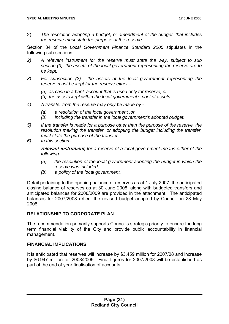2) *The resolution adopting a budget, or amendment of the budget, that includes the reserve must state the purpose of the reserve.* 

Section 34 of the *Local Government Finance Standard 2005* stipulates in the following sub-sections:

- *2) A relevant instrument for the reserve must state the way, subject to sub section (3), the assets of the local government representing the reserve are to be kept.*
- *3) For subsection (2) , the assets of the local government representing the reserve must be kept for the reserve either -* 
	- *(a) as cash in a bank account that is used only for reserve; or*
	- *(b) the assets kept within the local government's pool of assets.*
- *4) A transfer from the reserve may only be made by* 
	- *(a) a resolution of the local government ;or*
	- *(b) including the transfer in the local government's adopted budget.*
- *5) If the transfer is made for a purpose other than the purpose of the reserve, the resolution making the transfer, or adopting the budget including the transfer, must state the purpose of the transfer.*
- *6) In this section-*

**relevant instrument***, for a reserve of a local government means either of the following-* 

- *(a) the resolution of the local government adopting the budget in which the reserve was included;*
- *(b) a policy of the local government.*

Detail pertaining to the opening balance of reserves as at 1 July 2007, the anticipated closing balance of reserves as at 30 June 2008, along with budgeted transfers and anticipated balances for 2008/2009 are provided in the attachment. The anticipated balances for 2007/2008 reflect the revised budget adopted by Council on 28 May 2008.

#### **RELATIONSHIP TO CORPORATE PLAN**

The recommendation primarily supports Council's strategic priority to ensure the long term financial viability of the City and provide public accountability in financial management.

#### **FINANCIAL IMPLICATIONS**

It is anticipated that reserves will increase by \$3.459 million for 2007/08 and increase by \$6.947 million for 2008/2009. Final figures for 2007/2008 will be established as part of the end of year finalisation of accounts.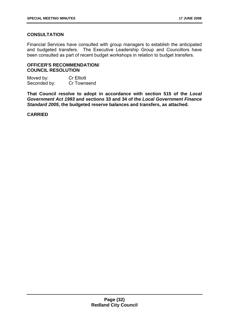#### **CONSULTATION**

Financial Services have consulted with group managers to establish the anticipated and budgeted transfers. The Executive Leadership Group and Councillors have been consulted as part of recent budget workshops in relation to budget transfers.

#### **OFFICER'S RECOMMENDATION/ COUNCIL RESOLUTION**

Moved by: Cr Elliott Seconded by: Cr Townsend

**That Council resolve to adopt in accordance with section 515 of the** *Local Government Act 1993* **and sections 33 and 34 of the** *Local Government Finance Standard 2005***, the budgeted reserve balances and transfers, as attached.** 

**CARRIED**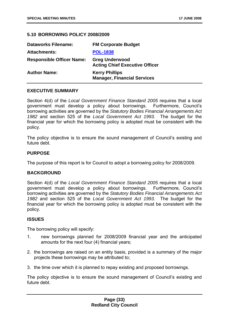#### **5.10 BORROWING POLICY 2008/2009**

| <b>Dataworks Filename:</b>       | <b>FM Corporate Budget</b>                                     |
|----------------------------------|----------------------------------------------------------------|
| <b>Attachments:</b>              | <b>POL-1838</b>                                                |
| <b>Responsible Officer Name:</b> | <b>Greg Underwood</b><br><b>Acting Chief Executive Officer</b> |
| <b>Author Name:</b>              | <b>Kerry Phillips</b><br><b>Manager, Financial Services</b>    |

#### **EXECUTIVE SUMMARY**

Section 4(d) of the *Local Government Finance Standard 2005* requires that a local government must develop a policy about borrowings. Furthermore, Council's borrowing activities are governed by the *Statutory Bodies Financial Arrangements Act 1982* and section 525 of the *Local Government Act 1993.* The budget for the financial year for which the borrowing policy is adopted must be consistent with the policy.

The policy objective is to ensure the sound management of Council's existing and future debt.

#### **PURPOSE**

The purpose of this report is for Council to adopt a borrowing policy for 2008/2009.

#### **BACKGROUND**

Section 4(d) of the *Local Government Finance Standard 2005* requires that a local government must develop a policy about borrowings. Furthermore, Council's borrowing activities are governed by the *Statutory Bodies Financial Arrangements Act 1982* and section 525 of the *Local Government Act 1993*. The budget for the financial year for which the borrowing policy is adopted must be consistent with the policy.

#### **ISSUES**

The borrowing policy will specify:

- 1. new borrowings planned for 2008/2009 financial year and the anticipated amounts for the next four (4) financial years;
- 2. the borrowings are raised on an entity basis, provided is a summary of the major projects these borrowings may be attributed to;
- 3. the time over which it is planned to repay existing and proposed borrowings.

The policy objective is to ensure the sound management of Council's existing and future debt.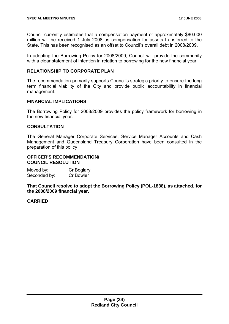Council currently estimates that a compensation payment of approximately \$80.000 million will be received 1 July 2008 as compensation for assets transferred to the State. This has been recognised as an offset to Council's overall debt in 2008/2009.

In adopting the Borrowing Policy for 2008/2009, Council will provide the community with a clear statement of intention in relation to borrowing for the new financial year.

#### **RELATIONSHIP TO CORPORATE PLAN**

The recommendation primarily supports Council's strategic priority to ensure the long term financial viability of the City and provide public accountability in financial management.

#### **FINANCIAL IMPLICATIONS**

The Borrowing Policy for 2008/2009 provides the policy framework for borrowing in the new financial year.

#### **CONSULTATION**

The General Manager Corporate Services, Service Manager Accounts and Cash Management and Queensland Treasury Corporation have been consulted in the preparation of this policy

#### **OFFICER'S RECOMMENDATION/ COUNCIL RESOLUTION**

Moved by: Cr Boglary Seconded by: Cr Bowler

**That Council resolve to adopt the Borrowing Policy (POL-1838), as attached, for the 2008/2009 financial year.** 

#### **CARRIED**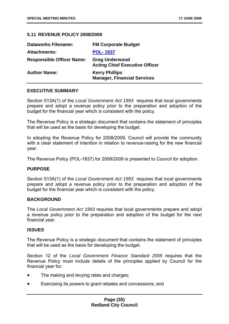#### **5.11 REVENUE POLICY 2008/2009**

| <b>Dataworks Filename:</b>       | <b>FM Corporate Budget</b>                                     |
|----------------------------------|----------------------------------------------------------------|
| <b>Attachments:</b>              | <b>POL-1837</b>                                                |
| <b>Responsible Officer Name:</b> | <b>Greg Underwood</b><br><b>Acting Chief Executive Officer</b> |
| <b>Author Name:</b>              | <b>Kerry Phillips</b><br><b>Manager, Financial Services</b>    |

#### **EXECUTIVE SUMMARY**

Section 513A(1) of the *Local Government Act 1993* requires that local governments prepare and adopt a revenue policy prior to the preparation and adoption of the budget for the financial year which is consistent with the policy.

The Revenue Policy is a strategic document that contains the statement of principles that will be used as the basis for developing the budget.

In adopting the Revenue Policy for 2008/2009, Council will provide the community with a clear statement of intention in relation to revenue-raising for the new financial year.

The Revenue Policy (POL-1837) for 2008/2009 is presented to Council for adoption.

#### **PURPOSE**

Section 513A(1) of the *Local Government Act 1993* requires that local governments prepare and adopt a revenue policy prior to the preparation and adoption of the budget for the financial year which is consistent with the policy.

#### **BACKGROUND**

The *Local Government Act 1993* requires that local governments prepare and adopt a revenue policy prior to the preparation and adoption of the budget for the next financial year.

#### **ISSUES**

The Revenue Policy is a strategic document that contains the statement of principles that will be used as the basis for developing the budget.

Section 12 of the *Local Government Finance Standard 2005* requires that the Revenue Policy must include details of the principles applied by Council for the financial year for:

- The making and levying rates and charges;
- Exercising its powers to grant rebates and concessions; and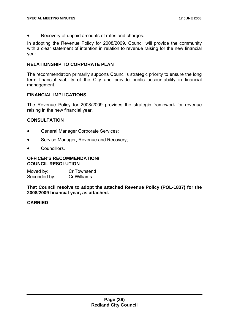Recovery of unpaid amounts of rates and charges.

In adopting the Revenue Policy for 2008/2009, Council will provide the community with a clear statement of intention in relation to revenue raising for the new financial year.

#### **RELATIONSHIP TO CORPORATE PLAN**

The recommendation primarily supports Council's strategic priority to ensure the long term financial viability of the City and provide public accountability in financial management.

#### **FINANCIAL IMPLICATIONS**

The Revenue Policy for 2008/2009 provides the strategic framework for revenue raising in the new financial year.

#### **CONSULTATION**

- General Manager Corporate Services;
- Service Manager, Revenue and Recovery;
- Councillors.

#### **OFFICER'S RECOMMENDATION/ COUNCIL RESOLUTION**

Moved by: Cr Townsend Seconded by: Cr Williams

**That Council resolve to adopt the attached Revenue Policy (POL-1837) for the 2008/2009 financial year, as attached.** 

#### **CARRIED**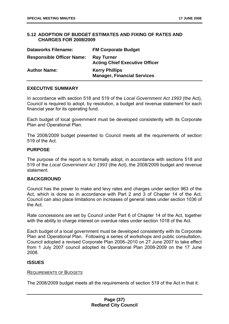#### **5.12 ADOPTION OF BUDGET ESTIMATES AND FIXING OF RATES AND CHARGES FOR 2008/2009**

| <b>Dataworks Filename:</b>       | <b>FM Corporate Budget</b>                                  |
|----------------------------------|-------------------------------------------------------------|
| <b>Responsible Officer Name:</b> | <b>Ray Turner</b><br><b>Acting Chief Executive Officer</b>  |
| <b>Author Name:</b>              | <b>Kerry Phillips</b><br><b>Manager, Financial Services</b> |

#### **EXECUTIVE SUMMARY**

In accordance with section 518 and 519 of the *Local Government Act 1993* (the Act), Council is required to adopt, by resolution, a budget and revenue statement for each financial year for its operating fund.

Each budget of local government must be developed consistently with its Corporate Plan and Operational Plan.

The 2008/2009 budget presented to Council meets all the requirements of section 519 of the Act.

#### **PURPOSE**

The purpose of the report is to formally adopt, in accordance with sections 518 and 519 of the *Local Government Act 1993* (the Act), the 2008/2009 budget and revenue statement.

#### **BACKGROUND**

Council has the power to make and levy rates and charges under section 963 of the Act, which is done so in accordance with Part 2 and 3 of Chapter 14 of the Act. Council can also place limitations on increases of general rates under section 1036 of the Act.

Rate concessions are set by Council under Part 6 of Chapter 14 of the Act, together with the ability to charge interest on overdue rates under section 1018 of the Act.

Each budget of a local government must be developed consistently with its Corporate Plan and Operational Plan. Following a series of workshops and public consultation, Council adopted a revised Corporate Plan 2006–2010 on 27 June 2007 to take effect from 1 July 2007 council adopted its Operational Plan 2008-2009 on the 17 June 2008.

#### **ISSUES**

#### REQUIREMENTS OF BUDGETS

The 2008/2009 budget meets all the requirements of section 519 of the Act in that it: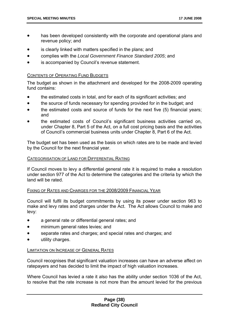- has been developed consistently with the corporate and operational plans and revenue policy; and
- is clearly linked with matters specified in the plans; and
- complies with the *Local Government Finance Standard 2005*; and
- is accompanied by Council's revenue statement.

#### CONTENTS OF OPERATING FUND BUDGETS

The budget as shown in the attachment and developed for the 2008-2009 operating fund contains:

- the estimated costs in total, and for each of its significant activities; and
- the source of funds necessary for spending provided for in the budget; and
- the estimated costs and source of funds for the next five (5) financial years; and
- the estimated costs of Council's significant business activities carried on, under Chapter 8, Part 5 of the Act, on a full cost pricing basis and the activities of Council's commercial business units under Chapter 8, Part 6 of the Act.

The budget set has been used as the basis on which rates are to be made and levied by the Council for the next financial year.

#### CATEGORISATION OF LAND FOR DIFFERENTIAL RATING

If Council moves to levy a differential general rate it is required to make a resolution under section 977 of the Act to determine the categories and the criteria by which the land will be rated.

#### FIXING OF RATES AND CHARGES FOR THE 2008/2009 FINANCIAL YEAR

Council will fulfil its budget commitments by using its power under section 963 to make and levy rates and charges under the Act. The Act allows Council to make and levy:

- a general rate or differential general rates; and
- minimum general rates levies; and
- separate rates and charges; and special rates and charges; and
- utility charges.

#### LIMITATION ON INCREASE OF GENERAL RATES

Council recognises that significant valuation increases can have an adverse affect on ratepayers and has decided to limit the impact of high valuation increases.

Where Council has levied a rate it also has the ability under section 1036 of the Act, to resolve that the rate increase is not more than the amount levied for the previous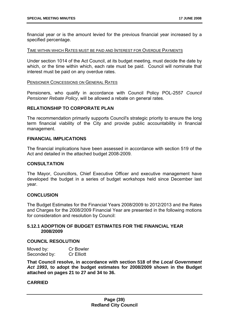financial year or is the amount levied for the previous financial year increased by a specified percentage.

#### TIME WITHIN WHICH RATES MUST BE PAID AND INTEREST FOR OVERDUE PAYMENTS

Under section 1014 of the Act Council, at its budget meeting, must decide the date by which, or the time within which, each rate must be paid. Council will nominate that interest must be paid on any overdue rates.

#### PENSIONER CONCESSIONS ON GENERAL RATES

Pensioners, who qualify in accordance with Council Policy POL-2557 *Council Pensioner Rebate Policy*, will be allowed a rebate on general rates.

#### **RELATIONSHIP TO CORPORATE PLAN**

The recommendation primarily supports Council's strategic priority to ensure the long term financial viability of the City and provide public accountability in financial management.

#### **FINANCIAL IMPLICATIONS**

The financial implications have been assessed in accordance with section 519 of the Act and detailed in the attached budget 2008-2009.

#### **CONSULTATION**

The Mayor, Councillors, Chief Executive Officer and executive management have developed the budget in a series of budget workshops held since December last year.

#### **CONCLUSION**

The Budget Estimates for the Financial Years 2008/2009 to 2012/2013 and the Rates and Charges for the 2008/2009 Financial Year are presented in the following motions for consideration and resolution by Council:

#### **5.12.1 ADOPTION OF BUDGET ESTIMATES FOR THE FINANCIAL YEAR 2008/2009**

#### **COUNCIL RESOLUTION**

| Moved by:    | <b>Cr Bowler</b>  |
|--------------|-------------------|
| Seconded by: | <b>Cr Elliott</b> |

**That Council resolve, in accordance with section 518 of the** *Local Government Act 1993***, to adopt the budget estimates for 2008/2009 shown in the Budget attached on pages 21 to 27 and 34 to 36.** 

#### **CARRIED**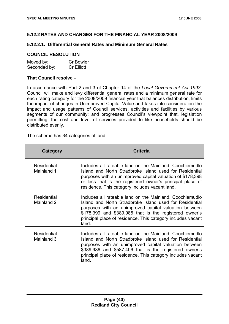#### **5.12.2 RATES AND CHARGES FOR THE FINANCIAL YEAR 2008/2009**

#### **5.12.2.1. Differential General Rates and Minimum General Rates**

#### **COUNCIL RESOLUTION**

| Moved by:    | <b>Cr Bowler</b>  |
|--------------|-------------------|
| Seconded by: | <b>Cr Elliott</b> |

#### **That Council resolve –**

In accordance with Part 2 and 3 of Chapter 14 of the *Local Government Act 1993*, Council will make and levy differential general rates and a minimum general rate for each rating category for the 2008/2009 financial year that balances distribution, limits the impact of changes in Unimproved Capital Value and takes into consideration the impact and usage patterns of Council services, activities and facilities by various segments of our community; and progresses Council's viewpoint that, legislation permitting, the cost and level of services provided to like households should be distributed evenly.

The scheme has 34 categories of land:–

| <b>Category</b>           | <b>Criteria</b>                                                                                                                                                                                                                                                                                                |
|---------------------------|----------------------------------------------------------------------------------------------------------------------------------------------------------------------------------------------------------------------------------------------------------------------------------------------------------------|
| Residential<br>Mainland 1 | Includes all rateable land on the Mainland, Coochiemudlo<br>Island and North Stradbroke Island used for Residential<br>purposes with an unimproved capital valuation of \$178,398<br>or less that is the registered owner's principal place of<br>residence. This category includes vacant land.               |
| Residential<br>Mainland 2 | Includes all rateable land on the Mainland, Coochiemudlo<br>Island and North Stradbroke Island used for Residential<br>purposes with an unimproved capital valuation between<br>\$178,399 and \$389,985 that is the registered owner's<br>principal place of residence. This category includes vacant<br>land. |
| Residential<br>Mainland 3 | Includes all rateable land on the Mainland, Coochiemudlo<br>Island and North Stradbroke Island used for Residential<br>purposes with an unimproved capital valuation between<br>\$389,986 and \$587,406 that is the registered owner's<br>principal place of residence. This category includes vacant<br>land. |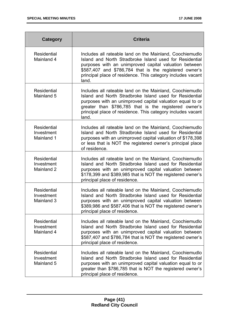| Category                                       | <b>Criteria</b>                                                                                                                                                                                                                                                                                                   |  |
|------------------------------------------------|-------------------------------------------------------------------------------------------------------------------------------------------------------------------------------------------------------------------------------------------------------------------------------------------------------------------|--|
| <b>Residential</b><br>Mainland 4               | Includes all rateable land on the Mainland, Coochiemudlo<br>Island and North Stradbroke Island used for Residential<br>purposes with an unimproved capital valuation between<br>\$587,407 and \$786,784 that is the registered owner's<br>principal place of residence. This category includes vacant<br>land.    |  |
| <b>Residential</b><br>Mainland 5               | Includes all rateable land on the Mainland, Coochiemudlo<br>Island and North Stradbroke Island used for Residential<br>purposes with an unimproved capital valuation equal to or<br>greater than \$786,785 that is the registered owner's<br>principal place of residence. This category includes vacant<br>land. |  |
| <b>Residential</b><br>Investment<br>Mainland 1 | Includes all rateable land on the Mainland, Coochiemudlo<br>Island and North Stradbroke Island used for Residential<br>purposes with an unimproved capital valuation of \$178,398<br>or less that is NOT the registered owner's principal place<br>of residence.                                                  |  |
| Residential<br>Investment<br>Mainland 2        | Includes all rateable land on the Mainland, Coochiemudlo<br>Island and North Stradbroke Island used for Residential<br>purposes with an unimproved capital valuation between<br>\$178,399 and \$389,985 that is NOT the registered owner's<br>principal place of residence.                                       |  |
| <b>Residential</b><br>Investment<br>Mainland 3 | Includes all rateable land on the Mainland, Coochiemudlo<br>Island and North Stradbroke Island used for Residential<br>purposes with an unimproved capital valuation between<br>\$389,986 and \$587,406 that is NOT the registered owner's<br>principal place of residence.                                       |  |
| <b>Residential</b><br>Investment<br>Mainland 4 | Includes all rateable land on the Mainland, Coochiemudlo<br>Island and North Stradbroke Island used for Residential<br>purposes with an unimproved capital valuation between<br>\$587,407 and \$786,784 that is NOT the registered owner's<br>principal place of residence.                                       |  |
| Residential<br>Investment<br>Mainland 5        | Includes all rateable land on the Mainland, Coochiemudlo<br>Island and North Stradbroke Island used for Residential<br>purposes with an unimproved capital valuation equal to or<br>greater than \$786,785 that is NOT the registered owner's<br>principal place of residence.                                    |  |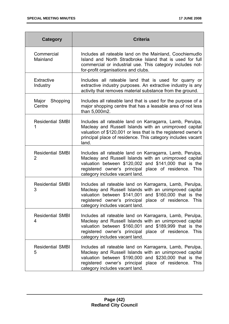| Category                                  | <b>Criteria</b>                                                                                                                                                                                                                                                        |  |
|-------------------------------------------|------------------------------------------------------------------------------------------------------------------------------------------------------------------------------------------------------------------------------------------------------------------------|--|
| Commercial<br>Mainland                    | Includes all rateable land on the Mainland, Coochiemudlo<br>Island and North Stradbroke Island that is used for full<br>commercial or industrial use. This category includes not-<br>for-profit organisations and clubs.                                               |  |
| <b>Extractive</b><br>Industry             | Includes all rateable land that is used for quarry or<br>extractive industry purposes. An extractive industry is any<br>activity that removes material substance from the ground.                                                                                      |  |
| Major<br>Shopping<br>Centre               | Includes all rateable land that is used for the purpose of a<br>major shopping centre that has a leasable area of not less<br>than 5,000m2.                                                                                                                            |  |
| <b>Residential SMBI</b><br>1              | Includes all rateable land on Karragarra, Lamb, Perulpa,<br>Macleay and Russell Islands with an unimproved capital<br>valuation of \$120,001 or less that is the registered owner's<br>principal place of residence. This category includes vacant<br>land.            |  |
| <b>Residential SMBI</b><br>$\overline{2}$ | Includes all rateable land on Karragarra, Lamb, Perulpa,<br>Macleay and Russell Islands with an unimproved capital<br>valuation between \$120,002 and \$141,000 that is the<br>registered owner's principal place of residence. This<br>category includes vacant land. |  |
| <b>Residential SMBI</b><br>3              | Includes all rateable land on Karragarra, Lamb, Perulpa,<br>Macleay and Russell Islands with an unimproved capital<br>valuation between \$141,001 and \$160,000 that is the<br>registered owner's principal place of residence. This<br>category includes vacant land. |  |
| <b>Residential SMBI</b><br>4              | Includes all rateable land on Karragarra, Lamb, Perulpa,<br>Macleay and Russell Islands with an unimproved capital<br>valuation between \$160,001 and \$189,999 that is the<br>registered owner's principal place of residence. This<br>category includes vacant land. |  |
| <b>Residential SMBI</b><br>5              | Includes all rateable land on Karragarra, Lamb, Perulpa,<br>Macleay and Russell Islands with an unimproved capital<br>valuation between \$190,000 and \$230,000 that is the<br>registered owner's principal place of residence. This<br>category includes vacant land. |  |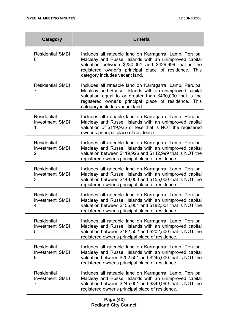| Category                                                | <b>Criteria</b>                                                                                                                                                                                                                                                           |  |
|---------------------------------------------------------|---------------------------------------------------------------------------------------------------------------------------------------------------------------------------------------------------------------------------------------------------------------------------|--|
| <b>Residential SMBI</b><br>6                            | Includes all rateable land on Karragarra, Lamb, Perulpa,<br>Macleay and Russell Islands with an unimproved capital<br>valuation between \$230,001 and \$429,999 that is the<br>registered owner's principal place of residence. This<br>category includes vacant land.    |  |
| <b>Residential SMBI</b><br>$\overline{7}$               | Includes all rateable land on Karragarra, Lamb, Perulpa,<br>Macleay and Russell Islands with an unimproved capital<br>valuation equal to or greater than \$430,000 that is the<br>registered owner's principal place of residence. This<br>category includes vacant land. |  |
| <b>Residential</b><br><b>Investment SMBI</b>            | Includes all rateable land on Karragarra, Lamb, Perulpa,<br>Macleay and Russell Islands with an unimproved capital<br>valuation of \$119,925 or less that is NOT the registered<br>owner's principal place of residence.                                                  |  |
| Residential<br><b>Investment SMBI</b><br>$\overline{2}$ | Includes all rateable land on Karragarra, Lamb, Perulpa,<br>Macleay and Russell Islands with an unimproved capital<br>valuation between \$119,926 and \$142,999 that is NOT the<br>registered owner's principal place of residence.                                       |  |
| <b>Residential</b><br><b>Investment SMBI</b><br>3       | Includes all rateable land on Karragarra, Lamb, Perulpa,<br>Macleay and Russell Islands with an unimproved capital<br>valuation between \$143,000 and \$155,000 that is NOT the<br>registered owner's principal place of residence.                                       |  |
| <b>Residential</b><br><b>Investment SMBI</b><br>4       | Includes all rateable land on Karragarra, Lamb, Perulpa,<br>Macleay and Russell Islands with an unimproved capital<br>valuation between \$155,001 and \$182,501 that is NOT the<br>registered owner's principal place of residence.                                       |  |
| Residential<br><b>Investment SMBI</b><br>5              | Includes all rateable land on Karragarra, Lamb, Perulpa,<br>Macleay and Russell Islands with an unimproved capital<br>valuation between \$182,502 and \$202,500 that is NOT the<br>registered owner's principal place of residence.                                       |  |
| Residential<br><b>Investment SMBI</b><br>6              | Includes all rateable land on Karragarra, Lamb, Perulpa,<br>Macleay and Russell Islands with an unimproved capital<br>valuation between \$202,501 and \$245,000 that is NOT the<br>registered owner's principal place of residence.                                       |  |
| Residential<br><b>Investment SMBI</b><br>7              | Includes all rateable land on Karragarra, Lamb, Perulpa,<br>Macleay and Russell Islands with an unimproved capital<br>valuation between \$245,001 and \$349,999 that is NOT the<br>registered owner's principal place of residence.                                       |  |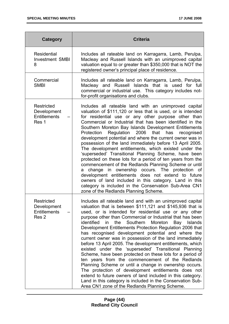| Category                                                             | <b>Criteria</b>                                                                                                                                                                                                                                                                                                                                                                                                                                                                                                                                                                                                                                                                                                                                                                                                                                                                                                                                                                                                                           |  |
|----------------------------------------------------------------------|-------------------------------------------------------------------------------------------------------------------------------------------------------------------------------------------------------------------------------------------------------------------------------------------------------------------------------------------------------------------------------------------------------------------------------------------------------------------------------------------------------------------------------------------------------------------------------------------------------------------------------------------------------------------------------------------------------------------------------------------------------------------------------------------------------------------------------------------------------------------------------------------------------------------------------------------------------------------------------------------------------------------------------------------|--|
| Residential<br><b>Investment SMBI</b><br>8                           | Includes all rateable land on Karragarra, Lamb, Perulpa,<br>Macleay and Russell Islands with an unimproved capital<br>valuation equal to or greater than \$350,000 that is NOT the<br>registered owner's principal place of residence.                                                                                                                                                                                                                                                                                                                                                                                                                                                                                                                                                                                                                                                                                                                                                                                                    |  |
| Commercial<br><b>SMBI</b>                                            | Includes all rateable land on Karragarra, Lamb, Perulpa,<br>Macleay and Russell Islands that is used for full<br>commercial or industrial use. This category includes not-<br>for-profit organisations and clubs.                                                                                                                                                                                                                                                                                                                                                                                                                                                                                                                                                                                                                                                                                                                                                                                                                         |  |
| Restricted<br>Development<br><b>Entitlements</b><br>Res 1            | Includes all rateable land with an unimproved capital<br>valuation of \$111,120 or less that is used, or is intended<br>for residential use or any other purpose other than<br>Commercial or Industrial that has been identified in the<br>Southern Moreton Bay Islands Development Entitlements<br>Regulation 2006 that<br>has recognised<br>Protection<br>development potential and where the current owner was in<br>possession of the land immediately before 13 April 2005.<br>The development entitlements, which existed under the<br>'superseded' Transitional Planning Scheme, have been<br>protected on these lots for a period of ten years from the<br>commencement of the Redlands Planning Scheme or until<br>change in ownership occurs. The protection of<br>a<br>development entitlements does not extend to future<br>owners of land included in this category. Land in this<br>category is included in the Conservation Sub-Area CN1<br>zone of the Redlands Planning Scheme.                                          |  |
| <b>Restricted</b><br>Development<br>Entitlements<br>Res <sub>2</sub> | Includes all rateable land and with an unimproved capital<br>valuation that is between \$111,121 and \$145,936 that is<br>used, or is intended for residential use or any other<br>purpose other than Commercial or Industrial that has been<br>Southern<br>Moreton<br>identified<br>the<br>$\mathsf{in}$<br>Bay Islands<br>Development Entitlements Protection Regulation 2006 that<br>has recognised development potential and where the<br>current owner was in possession of the land immediately<br>before 13 April 2005. The development entitlements, which<br>existed under the 'superseded' Transitional Planning<br>Scheme, have been protected on these lots for a period of<br>ten years from the commencement of the Redlands<br>Planning Scheme or until a change in ownership occurs.<br>The protection of development entitlements does not<br>extend to future owners of land included in this category.<br>Land in this category is included in the Conservation Sub-<br>Area CN1 zone of the Redlands Planning Scheme. |  |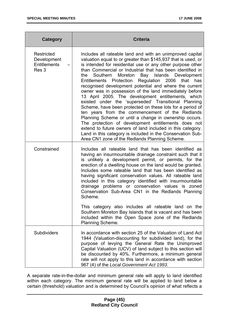| Category                                                  | <b>Criteria</b>                                                                                                                                                                                                                                                                                                                                                                                                                                                                                                                                                                                                                                                                                                                                                                                                                                                                                                                                                                                                           |
|-----------------------------------------------------------|---------------------------------------------------------------------------------------------------------------------------------------------------------------------------------------------------------------------------------------------------------------------------------------------------------------------------------------------------------------------------------------------------------------------------------------------------------------------------------------------------------------------------------------------------------------------------------------------------------------------------------------------------------------------------------------------------------------------------------------------------------------------------------------------------------------------------------------------------------------------------------------------------------------------------------------------------------------------------------------------------------------------------|
| <b>Restricted</b><br>Development<br>Entitlements<br>Res 3 | Includes all rateable land and with an unimproved capital<br>valuation equal to or greater than \$145,937 that is used, or<br>is intended for residential use or any other purpose other<br>than Commercial or Industrial that has been identified in<br>Southern<br>Moreton Bay Islands Development<br>the<br>Regulation 2006<br>that<br>Entitlements Protection<br>has<br>recognised development potential and where the current<br>owner was in possession of the land immediately before<br>13 April 2005. The development entitlements, which<br>existed under the 'superseded' Transitional Planning<br>Scheme, have been protected on these lots for a period of<br>ten years from the commencement of the Redlands<br>Planning Scheme or until a change in ownership occurs.<br>The protection of development entitlements does not<br>extend to future owners of land included in this category.<br>Land in this category is included in the Conservation Sub-<br>Area CN1 zone of the Redlands Planning Scheme. |
| Constrained                                               | Includes all rateable land that has been identified as<br>having an insurmountable drainage constraint such that it<br>is unlikely a development permit, or permits, for the<br>erection of a dwelling house on the land would be granted.<br>Includes some rateable land that has been identified as<br>having significant conservation values. All rateable land<br>included in this category identified with insurmountable<br>drainage problems or conservation values is zoned<br>Conservation Sub-Area CN1 in the Redlands Planning<br>Scheme.<br>This category also includes all rateable land on the<br>Southern Moreton Bay Islands that is vacant and has been<br>included within the Open Space zone of the Redlands<br>Planning Scheme.                                                                                                                                                                                                                                                                       |
| <b>Subdividers</b>                                        | In accordance with section 25 of the Valuation of Land Act<br>1944 (Valuation-discounting for subdivided land), for the<br>purpose of levying the General Rate the Unimproved<br>Capital Valuation (UCV) of land subject to this section will<br>be discounted by 40%. Furthermore, a minimum general<br>rate will not apply to this land in accordance with section<br>967 (4) of the Local Government Act 1993.                                                                                                                                                                                                                                                                                                                                                                                                                                                                                                                                                                                                         |

A separate rate-in-the-dollar and minimum general rate will apply to land identified within each category. The minimum general rate will be applied to land below a certain (threshold) valuation and is determined by Council's opinion of what reflects a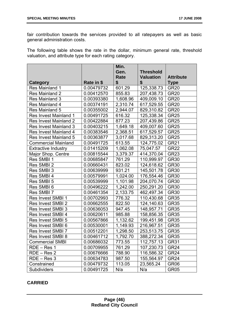fair contribution towards the services provided to all ratepayers as well as basic general administration costs.

The following table shows the rate in the dollar, minimum general rate, threshold valuation, and attribute type for each rating category.

|                              |            | Min.     |                  |                  |
|------------------------------|------------|----------|------------------|------------------|
|                              |            | Gen.     | <b>Threshold</b> |                  |
|                              |            | Rate     | <b>Valuation</b> | <b>Attribute</b> |
| Category                     | Rate in \$ | \$       | \$               | <b>Type</b>      |
| Res Mainland 1               | 0.00479732 | 601.29   | 125,338.73       | <b>GR20</b>      |
| Res Mainland 2               | 0.00412570 | 855.83   | 207,438.73       | <b>GR20</b>      |
| Res Mainland 3               | 0.00393380 | 1,608.96 | 409,009.10       | <b>GR20</b>      |
| Res Mainland 4               | 0.00374191 | 2,310.74 | 617,529.55       | <b>GR20</b>      |
| Res Mainland 5               | 0.00355002 | 2,944.07 | 829,310.82       | <b>GR20</b>      |
| <b>Res Invest Mainland 1</b> | 0.00491725 | 616.32   | 125,338.34       | <b>GR25</b>      |
| <b>Res Invest Mainland 2</b> | 0.00422884 | 877.23   | 207,439.86       | <b>GR25</b>      |
| <b>Res Invest Mainland 3</b> | 0.00403215 | 1,649.18 | 409,007.60       | GR <sub>25</sub> |
| Res Invest Mainland 4        | 0.00383546 | 2,368.51 | 617,529.57       | <b>GR25</b>      |
| Res Invest Mainland 5        | 0.00363877 | 3,017.68 | 829,313.20       | <b>GR25</b>      |
| <b>Commercial Mainland</b>   | 0.00491725 | 613.55   | 124,775.02       | <b>GR21</b>      |
| <b>Extractive Industry</b>   | 0.01415209 | 1,062.08 | 75,047.57        | <b>GR22</b>      |
| Major Shop. Centre           | 0.00815544 | 3,379.37 | 414,370.04       | GR <sub>23</sub> |
| Res SMBI 1                   | 0.00685847 | 761.29   | 110,999.97       | <b>GR30</b>      |
| Res SMBI 2                   | 0.00660431 | 823.02   | 124,618.62       | <b>GR30</b>      |
| Res SMBI 3                   | 0.00639999 | 931.21   | 145,501.78       | <b>GR30</b>      |
| Res SMBI 4                   | 0.00579991 | 1,024.00 | 176,554.46       | <b>GR30</b>      |
| Res SMBI 5                   | 0.00539999 | 1,101.98 | 204,070.74       | <b>GR30</b>      |
| Res SMBI6                    | 0.00496222 | 1,242.00 | 250,291.20       | <b>GR30</b>      |
| Res SMBI 7                   | 0.00461354 | 2,133.75 | 462,497.34       | <b>GR30</b>      |
| <b>Res Invest SMBI 1</b>     | 0.00702993 | 776.32   | 110,430.68       | <b>GR35</b>      |
| <b>Res Invest SMBI 2</b>     | 0.00662555 | 822.50   | 124,140.63       | <b>GR35</b>      |
| <b>Res Invest SMBI 3</b>     | 0.00636053 | 947.45   | 148,957.71       | <b>GR35</b>      |
| <b>Res Invest SMBI 4</b>     | 0.00620611 | 985.88   | 158,856.35       | <b>GR35</b>      |
| Res Invest SMBI 5            | 0.00567866 | 1,132.62 | 199,451.98       | <b>GR35</b>      |
| Res Invest SMBI 6            | 0.00530001 | 1,149.93 | 216,967.51       | <b>GR35</b>      |
| <b>Res Invest SMBI 7</b>     | 0.00512201 | 1,298.50 | 253,513.75       | <b>GR35</b>      |
| Res Invest SMBI 8            | 0.00461712 | 1,792.70 | 388,272.34       | GR <sub>35</sub> |
| <b>Commercial SMBI</b>       | 0.00686032 | 773.55   | 112,757.13       | GR31             |
| $RDE - Res 1$                | 0.00709955 | 761.29   | 107,230.73       | GR <sub>24</sub> |
| $RDE - Res 2$                | 0.00676666 | 788.90   | 116,586.32       | GR <sub>24</sub> |
| $RDE - Res 3$                | 0.00634783 | 987.50   | 155,564.97       | GR <sub>24</sub> |
| Constrained                  | 0.00479732 | 113.05   | 23,565.24        | GR <sub>06</sub> |
| Subdividers                  | 0.00491725 | N/a      | N/a              | GR <sub>05</sub> |

#### **CARRIED**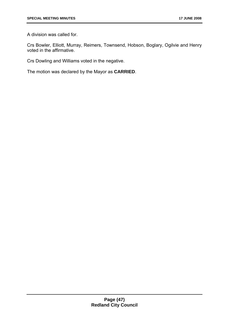A division was called for.

Crs Bowler, Elliott, Murray, Reimers, Townsend, Hobson, Boglary, Ogilvie and Henry voted in the affirmative.

Crs Dowling and Williams voted in the negative.

The motion was declared by the Mayor as **CARRIED**.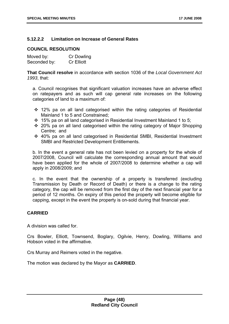#### **5.12.2.2 Limitation on Increase of General Rates**

#### **COUNCIL RESOLUTION**

| Moved by:    | Cr Dowling        |
|--------------|-------------------|
| Seconded by: | <b>Cr Elliott</b> |

**That Council resolve** in accordance with section 1036 of the *Local Government Act 1993*, that:

a. Council recognises that significant valuation increases have an adverse effect on ratepayers and as such will cap general rate increases on the following categories of land to a maximum of:

- 12% pa on all land categorised within the rating categories of Residential Mainland 1 to 5 and Constrained;
- 15% pa on all land categorised in Residential Investment Mainland 1 to 5;
- 20% pa on all land categorised within the rating category of Major Shopping Centre; and
- 40% pa on all land categorised in Residential SMBI, Residential Investment SMBI and Restricted Development Entitlements.

b. In the event a general rate has not been levied on a property for the whole of 2007/2008, Council will calculate the corresponding annual amount that would have been applied for the whole of 2007/2008 to determine whether a cap will apply in 2008/2009; and

c. In the event that the ownership of a property is transferred (excluding Transmission by Death or Record of Death) or there is a change to the rating category, the cap will be removed from the first day of the next financial year for a period of 12 months. On expiry of this period the property will become eligible for capping, except in the event the property is on-sold during that financial year.

#### **CARRIED**

A division was called for.

Crs Bowler, Elliott, Townsend, Boglary, Ogilvie, Henry, Dowling, Williams and Hobson voted in the affirmative.

Crs Murray and Reimers voted in the negative.

The motion was declared by the Mayor as **CARRIED**.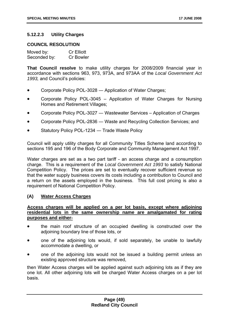#### **5.12.2.3 Utility Charges**

#### **COUNCIL RESOLUTION**

| Moved by:    | <b>Cr Elliott</b> |
|--------------|-------------------|
| Seconded by: | <b>Cr Bowler</b>  |

**That Council resolve** to make utility charges for 2008/2009 financial year in accordance with sections 963, 973, 973A, and 973AA of the *Local Government Act*  1993, and Council's policies:

- Corporate Policy POL-3028 Application of Water Charges;
- Corporate Policy POL-3045 Application of Water Charges for Nursing Homes and Retirement Villages;
- Corporate Policy POL-3027 ― Wastewater Services Application of Charges
- Corporate Policy POL-2836 ― Waste and Recycling Collection Services; and
- Statutory Policy POL-1234 Trade Waste Policy

Council will apply utility charges for all Community Titles Scheme land according to sections 195 and 196 of the Body Corporate and Community Management Act 1997.

Water charges are set as a two part tariff - an access charge and a consumption charge. This is a requirement of the *Local Government Act 1993* to satisfy National Competition Policy. The prices are set to eventually recover sufficient revenue so that the water supply business covers its costs including a contribution to Council and a return on the assets employed in the business. This full cost pricing is also a requirement of National Competition Policy.

#### **(A) Water Access Charges**

#### **Access charges will be applied on a per lot basis, except where adjoining residential lots in the same ownership name are amalgamated for rating purposes and either-**

- the main roof structure of an occupied dwelling is constructed over the adjoining boundary line of those lots, or
- one of the adjoining lots would, if sold separately, be unable to lawfully accommodate a dwelling, or
- one of the adjoining lots would not be issued a building permit unless an existing approved structure was removed,

then Water Access charges will be applied against such adjoining lots as if they are one lot. All other adjoining lots will be charged Water Access charges on a per lot basis.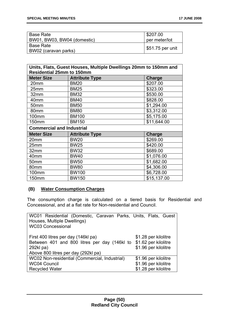| Base Rate                   | \$207.00                       |
|-----------------------------|--------------------------------|
| BW01, BW03, BW04 (domestic) | per meter/lot                  |
| <b>Base Rate</b>            |                                |
| BW02 (caravan parks)        | $\frac{1}{2}$ \$51.75 per unit |

| Units, Flats, Guest Houses, Multiple Dwellings 20mm to 150mm and<br><b>Residential 25mm to 150mm</b> |                       |               |  |
|------------------------------------------------------------------------------------------------------|-----------------------|---------------|--|
| <b>Meter Size</b>                                                                                    | <b>Attribute Type</b> | <b>Charge</b> |  |
| 20mm                                                                                                 | <b>BM20</b>           | \$207.00      |  |
| 25mm                                                                                                 | <b>BM25</b>           | \$323.00      |  |
| 32mm                                                                                                 | <b>BM32</b>           | \$530.00      |  |
| 40mm                                                                                                 | <b>BM40</b>           | \$828.00      |  |
| 50mm                                                                                                 | <b>BM50</b>           | \$1,294.00    |  |
| 80mm                                                                                                 | <b>BM80</b>           | \$3,312.00    |  |
| 100mm                                                                                                | <b>BM100</b>          | \$5,175.00    |  |
| 150mm                                                                                                | <b>BM150</b>          | \$11,644.00   |  |
| <b>Commercial and Industrial</b>                                                                     |                       |               |  |
| <b>Meter Size</b>                                                                                    | <b>Attribute Type</b> | <b>Charge</b> |  |
| 20mm                                                                                                 | <b>BW20</b>           | \$269.00      |  |
| 25mm                                                                                                 | <b>BW25</b>           | \$420.00      |  |
| 32mm                                                                                                 | <b>BW32</b>           | \$689.00      |  |
| 40mm                                                                                                 | <b>BW40</b>           | \$1,076.00    |  |
| 50mm                                                                                                 | <b>BW50</b>           | \$1,682.00    |  |
| 80mm                                                                                                 | <b>BW80</b>           | \$4,306.00    |  |
| 100mm                                                                                                | <b>BW100</b>          | \$6,728.00    |  |
| 150mm                                                                                                | <b>BW150</b>          | \$15,137.00   |  |

#### **(B) Water Consumption Charges**

The consumption charge is calculated on a tiered basis for Residential and Concessional, and at a flat rate for Non-residential and Council.

| WC01 Residential (Domestic, Caravan Parks, Units, Flats, Guest<br>Houses, Multiple Dwellings)<br><b>WC03 Concessional</b>                                    |                                              |
|--------------------------------------------------------------------------------------------------------------------------------------------------------------|----------------------------------------------|
| First 400 litres per day (146kl pa)<br>Between 401 and 800 litres per day (146kl to \$1.62 per kilolitre<br>292kl pa)<br>Above 800 litres per day (292kl pa) | \$1.28 per kilolitre<br>\$1.96 per kilolitre |
| WC02 Non-residential (Commercial, Industrial)                                                                                                                | \$1.96 per kilolitre                         |
| <b>WC04 Council</b>                                                                                                                                          | \$1.96 per kilolitre                         |
| <b>Recycled Water</b>                                                                                                                                        | \$1.28 per kilolitre                         |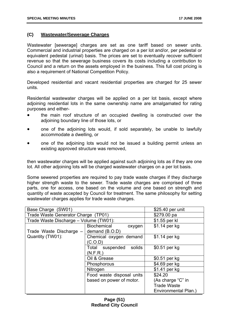#### **(C) Wastewater/Sewerage Charges**

Wastewater [sewerage] charges are set as one tariff based on sewer units. Commercial and industrial properties are charged on a per lot and/or, per pedestal or equivalent pedestal (urinal) basis. The prices are set to eventually recover sufficient revenue so that the sewerage business covers its costs including a contribution to Council and a return on the assets employed in the business. This full cost pricing is also a requirement of National Competition Policy.

Developed residential and vacant residential properties are charged for 25 sewer units.

Residential wastewater charges will be applied on a per lot basis, except where adjoining residential lots in the same ownership name are amalgamated for rating purposes and either-

- the main roof structure of an occupied dwelling is constructed over the adjoining boundary line of those lots, or
- one of the adjoining lots would, if sold separately, be unable to lawfully accommodate a dwelling, or
- one of the adjoining lots would not be issued a building permit unless an existing approved structure was removed,

then wastewater charges will be applied against such adjoining lots as if they are one lot. All other adjoining lots will be charged wastewater charges on a per lot basis.

Some sewered properties are required to pay trade waste charges if they discharge higher strength waste to the sewer. Trade waste charges are comprised of three parts, one for access, one based on the volume and one based on strength and quantity of waste accepted by Council for treatment. The same philosophy for setting wastewater charges applies for trade waste charges.

| Base Charge (SW01)                     | \$25.40 per unit          |                      |
|----------------------------------------|---------------------------|----------------------|
| Trade Waste Generator Charge (TP01)    | \$279.00 pa               |                      |
| Trade Waste Discharge - Volume (TW01): | \$1.55 per kl             |                      |
|                                        | Biochemical<br>oxygen     | $$1.14$ per kg       |
| Trade Waste Discharge -                | demand (B.O.D)            |                      |
| Quantity (TW01):                       | Chemical oxygen demand    | \$1.14 per kg        |
|                                        | (C.O.D)                   |                      |
|                                        | solids<br>Total suspended | \$0.51 per kg        |
|                                        | (N.F.R.)                  |                      |
|                                        | Oil & Grease              | \$0.51 per kg        |
|                                        | Phosphorous               | \$4.69 per kg        |
|                                        | Nitrogen                  | \$1.41 per kg        |
|                                        | Food waste disposal units | \$24.20              |
|                                        | (As charge "C" in         |                      |
|                                        |                           | <b>Trade Waste</b>   |
|                                        |                           | Environmental Plan.) |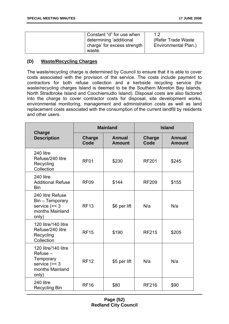| Constant "d" for use when   |                      |
|-----------------------------|----------------------|
| determining 'additional     | (Refer Trade Waste)  |
| charge' for excess strength | Environmental Plan.) |
| waste.                      |                      |

#### **(D) Waste/Recycling Charges**

The waste/recycling charge is determined by Council to ensure that it is able to cover costs associated with the provision of the service. The costs include payment to contractors for both refuse collection and a kerbside recycling service (for waste/recycling charges Island is deemed to be the Southern Moreton Bay Islands, North Stradbroke Island and Coochiemudlo Island). Disposal costs are also factored into the charge to cover contractor costs for disposal, site development works, environmental monitoring, management and administration costs as well as land replacement costs associated with the consumption of the current landfill by residents and other users.

|                                                                                                  |                  | <b>Mainland</b>                | <b>Island</b>  |                                |
|--------------------------------------------------------------------------------------------------|------------------|--------------------------------|----------------|--------------------------------|
| Charge<br><b>Description</b>                                                                     | Charge<br>Code   | <b>Annual</b><br><b>Amount</b> | Charge<br>Code | <b>Annual</b><br><b>Amount</b> |
| 240 litre<br>Refuse/240 litre<br>Recycling<br>Collection                                         | RF <sub>01</sub> | \$230                          | <b>RF201</b>   | \$245                          |
| 240 litre<br><b>Additional Refuse</b><br><b>Bin</b>                                              | <b>RF09</b>      | \$144                          | <b>RF209</b>   | \$155                          |
| 240 litre Refuse<br>Bin - Temporary<br>service $(=< 3$<br>months Mainland<br>only)               | <b>RF13</b>      | \$6 per lift                   | N/a            | N/a                            |
| 120 litre/140 litre<br>Refuse/240 litre<br>Recycling<br>Collection                               | <b>RF15</b>      | \$190                          | <b>RF215</b>   | \$205                          |
| 120 litre/140 litre<br>$Reference -$<br>Temporary<br>service $(=< 3$<br>months Mainland<br>only) | <b>RF12</b>      | \$5 per lift                   | N/a            | N/a                            |
| 240 litre<br><b>Recycling Bin</b>                                                                | <b>RF16</b>      | \$80                           | <b>RF216</b>   | \$90                           |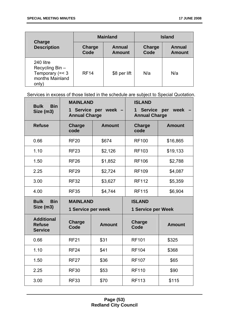|                                                                               |                       | <b>Mainland</b>                |                | <b>Island</b>                  |
|-------------------------------------------------------------------------------|-----------------------|--------------------------------|----------------|--------------------------------|
| Charge<br><b>Description</b>                                                  | <b>Charge</b><br>Code | <b>Annual</b><br><b>Amount</b> | Charge<br>Code | <b>Annual</b><br><b>Amount</b> |
| 240 litre<br>Recycling Bin -<br>Temporary $(=< 3$<br>months Mainland<br>only) | <b>RF14</b>           | \$8 per lift                   | N/a            | N/a                            |

Services in excess of those listed in the schedule are subject to Special Quotation.

| <b>Bulk</b><br><b>Bin</b><br>Size (m3)               | <b>MAINLAND</b><br>Service per week<br>$\mathbf 1$<br><b>Annual Charge</b> |               | <b>ISLAND</b><br><b>Service</b><br>$\mathbf 1$<br><b>Annual Charge</b> | week<br>per   |
|------------------------------------------------------|----------------------------------------------------------------------------|---------------|------------------------------------------------------------------------|---------------|
| <b>Refuse</b>                                        | <b>Charge</b><br>code                                                      | <b>Amount</b> | <b>Charge</b><br>code                                                  | <b>Amount</b> |
| 0.66                                                 | <b>RF20</b>                                                                | \$674         | <b>RF100</b>                                                           | \$16,865      |
| 1.10                                                 | <b>RF23</b>                                                                | \$2,126       | <b>RF103</b>                                                           | \$19,133      |
| 1.50                                                 | <b>RF26</b>                                                                | \$1,852       | <b>RF106</b>                                                           | \$2,788       |
| 2.25                                                 | <b>RF29</b>                                                                | \$2,724       | <b>RF109</b>                                                           | \$4,087       |
| 3.00                                                 | <b>RF32</b>                                                                | \$3,627       | <b>RF112</b>                                                           | \$5,359       |
| 4.00                                                 | <b>RF35</b>                                                                | \$4,744       | <b>RF115</b>                                                           | \$6,904       |
| <b>Bulk</b><br><b>Bin</b>                            | <b>MAINLAND</b>                                                            |               | <b>ISLAND</b>                                                          |               |
| Size (m3)                                            | 1 Service per week                                                         |               | <b>1 Service per Week</b>                                              |               |
| <b>Additional</b><br><b>Refuse</b><br><b>Service</b> | Charge<br>Code                                                             | <b>Amount</b> | Charge<br>Code                                                         | <b>Amount</b> |
|                                                      |                                                                            |               |                                                                        |               |
| 0.66                                                 | <b>RF21</b>                                                                | \$31          | <b>RF101</b>                                                           | \$325         |
| 1.10                                                 | <b>RF24</b>                                                                | \$41          | <b>RF104</b>                                                           | \$368         |
| 1.50                                                 | <b>RF27</b>                                                                | \$36          | <b>RF107</b>                                                           | \$65          |
| 2.25                                                 | <b>RF30</b>                                                                | \$53          | <b>RF110</b>                                                           | \$90          |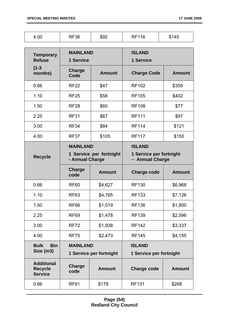| 4.00                                                  | <b>RF36</b>                  | \$92                    | <b>RF116</b>                               | \$145         |
|-------------------------------------------------------|------------------------------|-------------------------|--------------------------------------------|---------------|
| <b>Temporary</b><br><b>Refuse</b>                     | <b>MAINLAND</b><br>1 Service |                         | <b>ISLAND</b><br>1 Service                 |               |
| $(1 - 3)$<br>months)                                  | <b>Charge</b><br>Code        | <b>Amount</b>           | <b>Charge Code</b>                         | <b>Amount</b> |
| 0.66                                                  | <b>RF22</b>                  | \$47                    | <b>RF102</b>                               | \$359         |
| 1.10                                                  | <b>RF25</b>                  | \$58                    | <b>RF105</b>                               | \$402         |
| 1.50                                                  | <b>RF28</b>                  | \$60                    | <b>RF108</b>                               | \$77          |
| 2.25                                                  | <b>RF31</b>                  | \$67                    | <b>RF111</b>                               | \$97          |
| 3.00                                                  | <b>RF34</b>                  | \$84                    | <b>RF114</b>                               | \$121         |
| 4.00                                                  | <b>RF37</b>                  | \$105                   | <b>RF117</b>                               | \$150         |
|                                                       | <b>MAINLAND</b>              |                         | <b>ISLAND</b>                              |               |
| <b>Recycle</b>                                        | - Annual Charge              | 1 Service per fortnight | 1 Service per fortnight<br>- Annual Charge |               |
|                                                       | Charge<br>code               | <b>Amount</b>           | <b>Charge code</b>                         | <b>Amount</b> |
| 0.66                                                  | <b>RF60</b>                  | \$4,627                 | <b>RF130</b>                               | \$6,968       |
| 1.10                                                  | <b>RF63</b>                  | \$4,785                 | <b>RF133</b>                               | \$7,126       |
| 1.50                                                  | <b>RF66</b>                  | \$1,019                 | <b>RF136</b>                               | \$1,800       |
| 2.25                                                  | <b>RF69</b>                  | \$1,478                 | <b>RF139</b>                               | \$2,596       |
| 3.00                                                  | <b>RF72</b>                  | \$1,938                 | <b>RF142</b>                               | \$3,337       |
| 4.00                                                  | <b>RF75</b>                  | \$2,473                 | <b>RF145</b>                               | \$4,155       |
| <b>Bin</b><br><b>Bulk</b>                             | <b>MAINLAND</b>              |                         | <b>ISLAND</b>                              |               |
| Size (m3)                                             |                              | 1 Service per fortnight | 1 Service per fortnight                    |               |
| <b>Additional</b><br><b>Recycle</b><br><b>Service</b> | Charge<br>code               | <b>Amount</b>           | <b>Charge code</b>                         | <b>Amount</b> |
| 0.66                                                  | <b>RF61</b>                  | \$178                   | <b>RF131</b>                               | \$268         |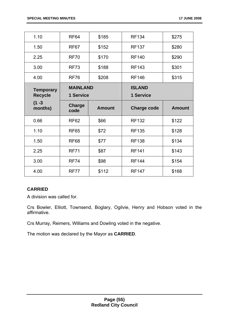| 1.10             | <b>RF64</b>           | \$185         | <b>RF134</b>       | \$275         |
|------------------|-----------------------|---------------|--------------------|---------------|
| 1.50             | RF67                  | \$152         | <b>RF137</b>       | \$280         |
| 2.25             | <b>RF70</b>           | \$170         | <b>RF140</b>       | \$290         |
| 3.00             | <b>RF73</b>           | \$188         | <b>RF143</b>       | \$301         |
| 4.00             | <b>RF76</b>           | \$208         | <b>RF146</b>       | \$315         |
| <b>Temporary</b> | <b>MAINLAND</b>       |               | <b>ISLAND</b>      |               |
| <b>Recycle</b>   | 1 Service             |               | 1 Service          |               |
| $(1 - 3)$        |                       |               |                    |               |
| months)          | <b>Charge</b><br>code | <b>Amount</b> | <b>Charge code</b> | <b>Amount</b> |
| 0.66             | <b>RF62</b>           | \$66          | <b>RF132</b>       | \$122         |
| 1.10             | <b>RF65</b>           | \$72          | <b>RF135</b>       | \$128         |
| 1.50             | <b>RF68</b>           | \$77          | <b>RF138</b>       | \$134         |
| 2.25             | <b>RF71</b>           | \$87          | <b>RF141</b>       | \$143         |
| 3.00             | <b>RF74</b>           | \$98          | <b>RF144</b>       | \$154         |

#### **CARRIED**

A division was called for.

Crs Bowler, Elliott, Townsend, Boglary, Ogilvie, Henry and Hobson voted in the affirmative.

Crs Murray, Reimers, Williams and Dowling voted in the negative.

The motion was declared by the Mayor as **CARRIED**.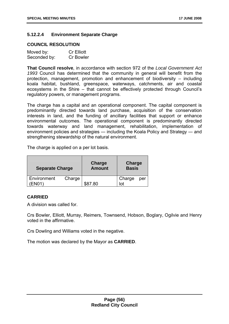#### **5.12.2.4 Environment Separate Charge**

#### **COUNCIL RESOLUTION**

| Moved by:    | <b>Cr Elliott</b> |
|--------------|-------------------|
| Seconded by: | <b>Cr Bowler</b>  |

**That Council resolve**, in accordance with section 972 of the *Local Government Act 1993* Council has determined that the community in general will benefit from the protection, management, promotion and enhancement of biodiversity – including koala habitat, bushland, greenspace, waterways, catchments, air and coastal ecosystems in the Shire – that cannot be effectively protected through Council's regulatory powers, or management programs.

The charge has a capital and an operational component. The capital component is predominantly directed towards land purchase, acquisition of the conservation interests in land, and the funding of ancillary facilities that support or enhance environmental outcomes. The operational component is predominantly directed towards waterway and land management, rehabilitation, implementation of environment policies and strategies ― including the Koala Policy and Strategy ― and strengthening stewardship of the natural environment.

The charge is applied on a per lot basis.

| <b>Separate Charge</b> |        | Charge<br><b>Amount</b> | Charge<br><b>Basis</b> |     |
|------------------------|--------|-------------------------|------------------------|-----|
| Environment<br>=N∩1    | Charge | \$87.80                 | Charge                 | per |

#### **CARRIED**

A division was called for.

Crs Bowler, Elliott, Murray, Reimers, Townsend, Hobson, Boglary, Ogilvie and Henry voted in the affirmative.

Crs Dowling and Williams voted in the negative.

The motion was declared by the Mayor as **CARRIED**.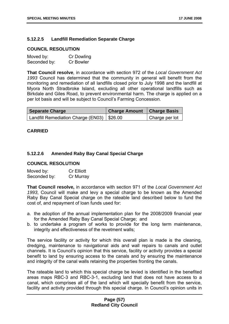#### **5.12.2.5 Landfill Remediation Separate Charge**

#### **COUNCIL RESOLUTION**

| Moved by:    | Cr Dowling       |
|--------------|------------------|
| Seconded by: | <b>Cr Bowler</b> |

**That Council resolve**, in accordance with section 972 of the *Local Government Act 1993* Council has determined that the community in general will benefit from the monitoring and remediation of all landfills closed prior to July 1998 and the landfill at Myora North Stradbroke Island, excluding all other operational landfills such as Birkdale and Giles Road, to prevent environmental harm. The charge is applied on a per lot basis and will be subject to Council's Farming Concession.

| <b>Separate Charge</b>                       | Charge Amount   Charge Basis |                |
|----------------------------------------------|------------------------------|----------------|
| Landfill Remediation Charge (EN03)   \$26.00 |                              | Charge per lot |

#### **CARRIED**

#### **5.12.2.6 Amended Raby Bay Canal Special Charge**

#### **COUNCIL RESOLUTION**

| Moved by:    | <b>Cr Elliott</b> |
|--------------|-------------------|
| Seconded by: | Cr Murray         |

**That Council resolve,** in accordance with section 971 of the *Local Government Act 1993*, Council will make and levy a special charge to be known as the Amended Raby Bay Canal Special charge on the rateable land described below to fund the cost of, and repayment of loan funds used for:

- a. the adoption of the annual implementation plan for the 2008/2009 financial year for the Amended Raby Bay Canal Special Charge; and
- b. to undertake a program of works to provide for the long term maintenance, integrity and effectiveness of the revetment walls;

The service facility or activity for which this overall plan is made is the cleaning, dredging, maintenance to navigational aids and wall repairs to canals and outlet channels. It is Council's opinion that this service, facility or activity provides a special benefit to land by ensuring access to the canals and by ensuring the maintenance and integrity of the canal walls retaining the properties fronting the canals.

The rateable land to which this special charge be levied is identified in the benefited areas maps RBC-3 and RBC-3-1, excluding land that does not have access to a canal, which comprises all of the land which will specially benefit from the service, facility and activity provided through this special charge. In Council's opinion units in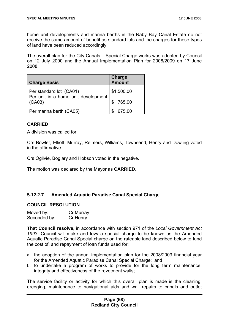home unit developments and marina berths in the Raby Bay Canal Estate do not receive the same amount of benefit as standard lots and the charges for these types of land have been reduced accordingly.

The overall plan for the City Canals – Special Charge works was adopted by Council on 12 July 2000 and the Annual Implementation Plan for 2008/2009 on 17 June 2008.

| <b>Charge Basis</b>                 | <b>Charge</b><br>Amount |
|-------------------------------------|-------------------------|
| Per standard lot (CA01)             | \$1,500.00              |
| Per unit in a home unit development |                         |
| (CAO3)                              | \$<br>765.00            |
| Per marina berth (CA05)             | 675.00                  |

#### **CARRIED**

A division was called for.

Crs Bowler, Elliott, Murray, Reimers, Williams, Townsend, Henry and Dowling voted in the affirmative.

Crs Ogilvie, Boglary and Hobson voted in the negative.

The motion was declared by the Mayor as **CARRIED**.

#### **5.12.2.7 Amended Aquatic Paradise Canal Special Charge**

#### **COUNCIL RESOLUTION**

| Moved by:    | Cr Murray |
|--------------|-----------|
| Seconded by: | Cr Henry  |

**That Council resolve**, in accordance with section 971 of the *Local Government Act 1993*, Council will make and levy a special charge to be known as the Amended Aquatic Paradise Canal Special charge on the rateable land described below to fund the cost of, and repayment of loan funds used for:

- a. the adoption of the annual implementation plan for the 2008/2009 financial year for the Amended Aquatic Paradise Canal Special Charge; and
- b. to undertake a program of works to provide for the long term maintenance, integrity and effectiveness of the revetment walls;

The service facility or activity for which this overall plan is made is the cleaning, dredging, maintenance to navigational aids and wall repairs to canals and outlet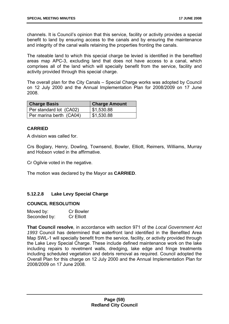channels. It is Council's opinion that this service, facility or activity provides a special benefit to land by ensuring access to the canals and by ensuring the maintenance and integrity of the canal walls retaining the properties fronting the canals.

The rateable land to which this special charge be levied is identified in the benefited areas map APC-3, excluding land that does not have access to a canal, which comprises all of the land which will specially benefit from the service, facility and activity provided through this special charge.

The overall plan for the City Canals – Special Charge works was adopted by Council on 12 July 2000 and the Annual Implementation Plan for 2008/2009 on 17 June 2008.

| <b>Charge Basis</b>     | <b>Charge Amount</b> |
|-------------------------|----------------------|
| Per standard lot (CA02) | \$1,530.88           |
| Per marina berth (CA04) | \$1,530.88           |

#### **CARRIED**

A division was called for.

Crs Boglary, Henry, Dowling, Townsend, Bowler, Elliott, Reimers, Williams, Murray and Hobson voted in the affirmative.

Cr Ogilvie voted in the negative.

The motion was declared by the Mayor as **CARRIED**.

#### **5.12.2.8 Lake Levy Special Charge**

#### **COUNCIL RESOLUTION**

| Moved by:    | <b>Cr Bowler</b>  |
|--------------|-------------------|
| Seconded by: | <b>Cr Elliott</b> |

**That Council resolve**, in accordance with section 971 of the *Local Government Act 1993* Council has determined that waterfront land identified in the Benefited Area Map SWL-1 will specially benefit from the service, facility, or activity provided through the Lake Levy Special Charge. These include defined maintenance work on the lake including repairs to revetment walls, dredging, lake edge and fringe treatments including scheduled vegetation and debris removal as required. Council adopted the Overall Plan for this charge on 12 July 2000 and the Annual Implementation Plan for 2008/2009 on 17 June 2008.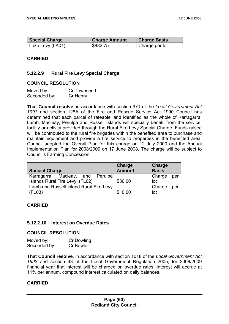| <b>Special Charge</b> | <b>Charge Amount</b> | <b>Charge Basis</b> |
|-----------------------|----------------------|---------------------|
| Lake Levy (LA01)      | \$882.75             | ' Charge per lot    |

#### **CARRIED**

#### **5.12.2.9 Rural Fire Levy Special Charge**

#### **COUNCIL RESOLUTION**

| Moved by:    | Cr Townsend |
|--------------|-------------|
| Seconded by: | Cr Henry    |

**That Council resolve**, in accordance with section 971 of the *Local Government Act 1993* and section 128A of the Fire and Rescue Service Act 1990 Council has determined that each parcel of rateable land identified as the whole of Karragarra, Lamb, Macleay, Perulpa and Russell Islands will specially benefit from the service, facility or activity provided through the Rural Fire Levy Special Charge. Funds raised will be contributed to the rural fire brigades within the benefited area to purchase and maintain equipment and provide a fire service to properties in the benefited area. Council adopted the Overall Plan for this charge on 12 July 2000 and the Annual Implementation Plan for 2008/2009 on 17 June 2008. The charge will be subject to Council's Farming Concession.

| <b>Special Charge</b>                   | Charge<br><b>Amount</b> | Charge<br><b>Basis</b> |
|-----------------------------------------|-------------------------|------------------------|
| Karragarra, Macleay,<br>and Perulpa     |                         | Charge<br>per          |
| Islands Rural Fire Levy (FL02)          | \$30.00                 | lot                    |
| Lamb and Russell Island Rural Fire Levy |                         | Charge<br>per          |
| (FL03)                                  | \$10.00                 | lot                    |

#### **CARRIED**

#### **5.12.2.10 Interest on Overdue Rates**

#### **COUNCIL RESOLUTION**

| Moved by:    | Cr Dowling       |
|--------------|------------------|
| Seconded by: | <b>Cr Bowler</b> |

**That Council resolve**, in accordance with section 1018 of the *Local Government Act 1993* and section 43 of the Local Government Regulation 2005, for 2008/2009 financial year that interest will be charged on overdue rates. Interest will accrue at 11% per annum, compound interest calculated on daily balances.

#### **CARRIED**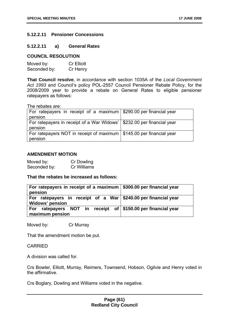#### **5.12.2.11 Pensioner Concessions**

#### **5.12.2.11 a) General Rates**

#### **COUNCIL RESOLUTION**

| Moved by:    | <b>Cr Elliott</b> |
|--------------|-------------------|
| Seconded by: | Cr Henry          |

**That Council resolve**, in accordance with section 1035A of the *Local Government Act 1993* and Council's policy POL-2557 Council Pensioner Rebate Policy, for the 2008/2009 year to provide a rebate on General Rates to eligible pensioner ratepayers as follows:

The rebates are:

| For ratepayers in receipt of a maximum   \$290.00 per financial year               |  |
|------------------------------------------------------------------------------------|--|
| pension                                                                            |  |
| For ratepayers in receipt of a War Widows'   \$232.00 per financial year           |  |
| pension                                                                            |  |
| For ratepayers NOT in receipt of maximum $\frac{1}{2}$ \$145.00 per financial year |  |
| pension                                                                            |  |

#### **AMENDMENT MOTION**

Moved by: Cr Dowling Seconded by: Cr Williams

**That the rebates be increased as follows:** 

| For ratepayers in receipt of a maximum $\frac{1}{2}$ \$300.00 per financial year<br>pension      |  |
|--------------------------------------------------------------------------------------------------|--|
| For ratepayers in receipt of a War $\frac{240.00}{240.00}$ per financial year<br>Widows' pension |  |
| For ratepayers NOT in receipt of $\frac{1}{2}$ \$150.00 per financial year<br>maximum pension    |  |

Moved by: Cr Murray

That the amendment motion be put.

#### CARRIED

A division was called for.

Crs Bowler, Elliott, Murray, Reimers, Townsend, Hobson, Ogilvie and Henry voted in the affirmative.

Crs Boglary, Dowling and Williams voted in the negative.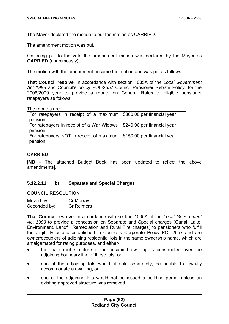The Mayor declared the motion to put the motion as CARRIED.

The amendment motion was put.

On being put to the vote the amendment motion was declared by the Mayor as **CARRIED** (unanimously).

The motion with the amendment became the motion and was put as follows:

**That Council resolve**, in accordance with section 1035A of the *Local Government Act 1993* and Council's policy POL-2557 Council Pensioner Rebate Policy, for the 2008/2009 year to provide a rebate on General Rates to eligible pensioner ratepayers as follows:

The rebates are:

| For ratepayers in receipt of a maximum   \$300.00 per financial year<br>pension     |  |
|-------------------------------------------------------------------------------------|--|
| For ratepayers in receipt of a War Widows'   \$240.00 per financial year<br>pension |  |
| For ratepayers NOT in receipt of maximum   \$150.00 per financial year<br>pension   |  |

#### **CARRIED**

[**NB** – The attached Budget Book has been updated to reflect the above amendments].

#### **5.12.2.11 b) Separate and Special Charges**

#### **COUNCIL RESOLUTION**

| Moved by:    | Cr Murray  |
|--------------|------------|
| Seconded by: | Cr Reimers |

**That Council resolve**, in accordance with section 1035A of the *Local Government Act 1993* to provide a concession on Separate and Special charges (Canal, Lake, Environment, Landfill Remediation and Rural Fire charges) to pensioners who fulfill the eligibility criteria established in Council's Corporate Policy POL-2557 and are owner/occupiers of adjoining residential lots in the same ownership name, which are amalgamated for rating purposes, and either-

- the main roof structure of an occupied dwelling is constructed over the adjoining boundary line of those lots, or
- one of the adjoining lots would, if sold separately, be unable to lawfully accommodate a dwelling, or
- one of the adjoining lots would not be issued a building permit unless an existing approved structure was removed,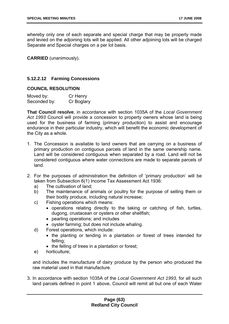whereby only one of each separate and special charge that may be properly made and levied on the adjoining lots will be applied. All other adjoining lots will be charged Separate and Special charges on a per lot basis.

**CARRIED** (unanimously).

#### **5.12.2.12 Farming Concessions**

#### **COUNCIL RESOLUTION**

| Moved by:    | Cr Henry   |
|--------------|------------|
| Seconded by: | Cr Boglary |

**That Council resolve**, in accordance with section 1035A of the *Local Government Act 1993* Council will provide a concession to property owners whose land is being used for the business of farming (primary production) to assist and encourage endurance in their particular industry, which will benefit the economic development of the City as a whole.

- 1. The Concession is available to land owners that are carrying on a business of primary production on contiguous parcels of land in the same ownership name. Land will be considered contiguous when separated by a road. Land will not be considered contiguous where water connections are made to separate parcels of land.
- 2. For the purposes of administration the definition of 'primary production' will be taken from Subsection 6(1) Income Tax Assessment Act 1936:
	- a) The cultivation of land;
	- b) The maintenance of animals or poultry for the purpose of selling them or their bodily produce, including natural increase;
	- c) Fishing operations which means:
		- operations relating directly to the taking or catching of fish, turtles, dugong, crustacean or oysters or other shellfish;
		- pearling operations; and includes
		- oyster farming; but does not include whaling.
	- d) Forest operations, which include:
		- the planting or tending in a plantation or forest of trees intended for felling;
		- the felling of trees in a plantation or forest:
	- e) horticulture;

and includes the manufacture of dairy produce by the person who produced the raw material used in that manufacture.

3. In accordance with section 1035A of the *Local Government Act 1993*, for all such land parcels defined in point 1 above, Council will remit all but one of each Water